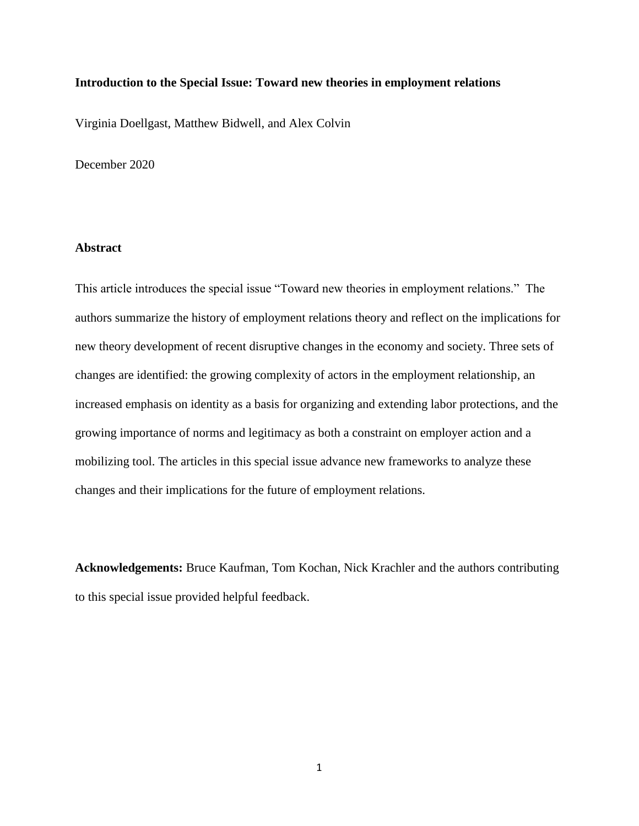### **Introduction to the Special Issue: Toward new theories in employment relations**

Virginia Doellgast, Matthew Bidwell, and Alex Colvin

December 2020

# **Abstract**

This article introduces the special issue "Toward new theories in employment relations." The authors summarize the history of employment relations theory and reflect on the implications for new theory development of recent disruptive changes in the economy and society. Three sets of changes are identified: the growing complexity of actors in the employment relationship, an increased emphasis on identity as a basis for organizing and extending labor protections, and the growing importance of norms and legitimacy as both a constraint on employer action and a mobilizing tool. The articles in this special issue advance new frameworks to analyze these changes and their implications for the future of employment relations.

**Acknowledgements:** Bruce Kaufman, Tom Kochan, Nick Krachler and the authors contributing to this special issue provided helpful feedback.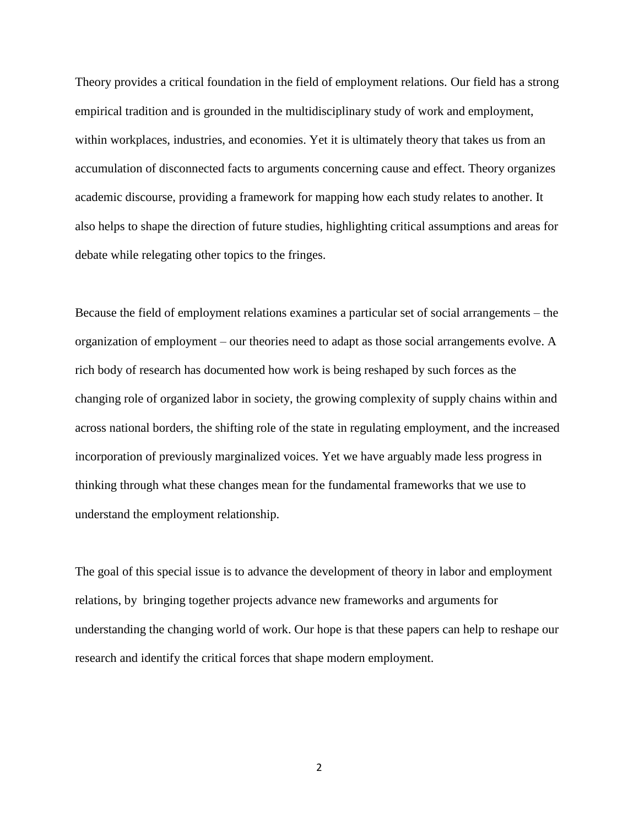Theory provides a critical foundation in the field of employment relations. Our field has a strong empirical tradition and is grounded in the multidisciplinary study of work and employment, within workplaces, industries, and economies. Yet it is ultimately theory that takes us from an accumulation of disconnected facts to arguments concerning cause and effect. Theory organizes academic discourse, providing a framework for mapping how each study relates to another. It also helps to shape the direction of future studies, highlighting critical assumptions and areas for debate while relegating other topics to the fringes.

Because the field of employment relations examines a particular set of social arrangements – the organization of employment – our theories need to adapt as those social arrangements evolve. A rich body of research has documented how work is being reshaped by such forces as the changing role of organized labor in society, the growing complexity of supply chains within and across national borders, the shifting role of the state in regulating employment, and the increased incorporation of previously marginalized voices. Yet we have arguably made less progress in thinking through what these changes mean for the fundamental frameworks that we use to understand the employment relationship.

The goal of this special issue is to advance the development of theory in labor and employment relations, by bringing together projects advance new frameworks and arguments for understanding the changing world of work. Our hope is that these papers can help to reshape our research and identify the critical forces that shape modern employment.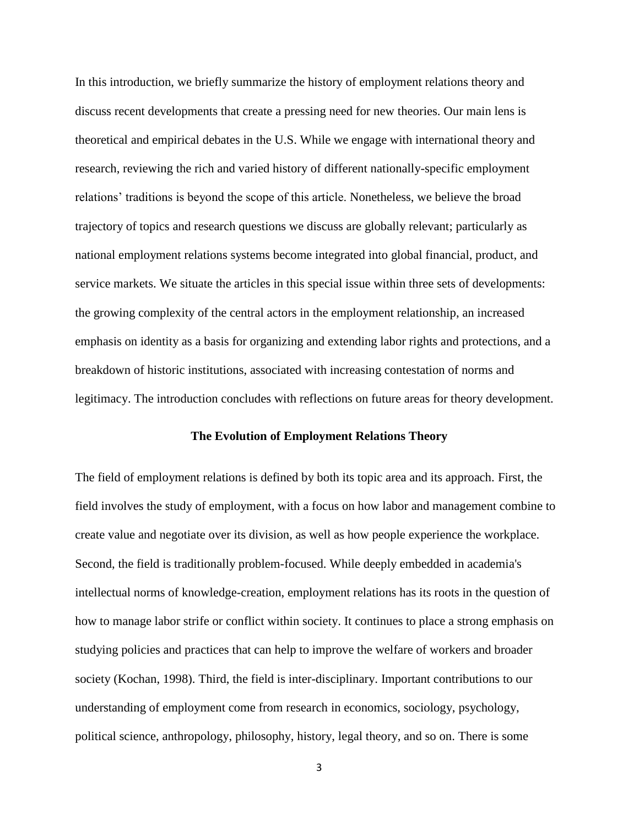In this introduction, we briefly summarize the history of employment relations theory and discuss recent developments that create a pressing need for new theories. Our main lens is theoretical and empirical debates in the U.S. While we engage with international theory and research, reviewing the rich and varied history of different nationally-specific employment relations' traditions is beyond the scope of this article. Nonetheless, we believe the broad trajectory of topics and research questions we discuss are globally relevant; particularly as national employment relations systems become integrated into global financial, product, and service markets. We situate the articles in this special issue within three sets of developments: the growing complexity of the central actors in the employment relationship, an increased emphasis on identity as a basis for organizing and extending labor rights and protections, and a breakdown of historic institutions, associated with increasing contestation of norms and legitimacy. The introduction concludes with reflections on future areas for theory development.

#### **The Evolution of Employment Relations Theory**

The field of employment relations is defined by both its topic area and its approach. First, the field involves the study of employment, with a focus on how labor and management combine to create value and negotiate over its division, as well as how people experience the workplace. Second, the field is traditionally problem-focused. While deeply embedded in academia's intellectual norms of knowledge-creation, employment relations has its roots in the question of how to manage labor strife or conflict within society. It continues to place a strong emphasis on studying policies and practices that can help to improve the welfare of workers and broader society (Kochan, 1998). Third, the field is inter-disciplinary. Important contributions to our understanding of employment come from research in economics, sociology, psychology, political science, anthropology, philosophy, history, legal theory, and so on. There is some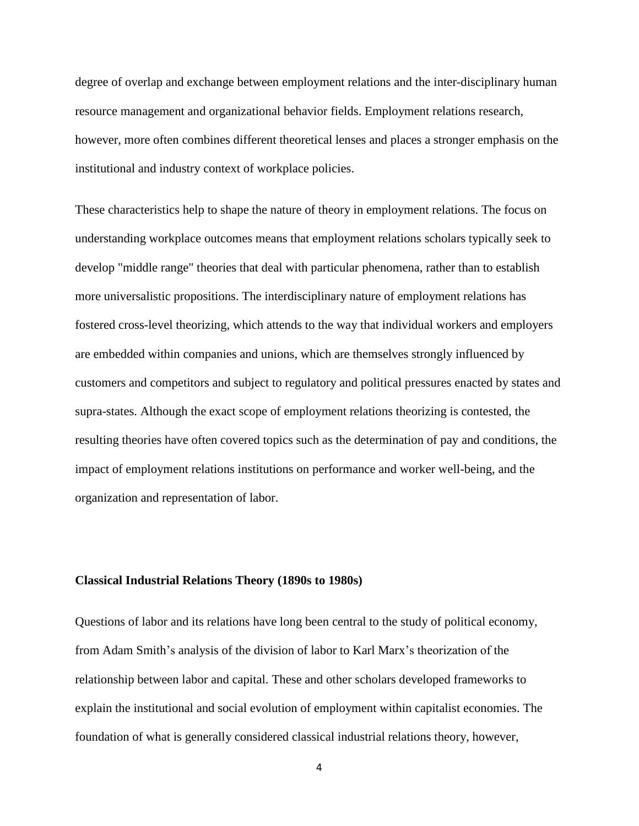degree of overlap and exchange between employment relations and the inter-disciplinary human resource management and organizational behavior fields. Employment relations research, however, more often combines different theoretical lenses and places a stronger emphasis on the institutional and industry context of workplace policies.

These characteristics help to shape the nature of theory in employment relations. The focus on understanding workplace outcomes means that employment relations scholars typically seek to develop "middle range" theories that deal with particular phenomena, rather than to establish more universalistic propositions. The interdisciplinary nature of employment relations has fostered cross-level theorizing, which attends to the way that individual workers and employers are embedded within companies and unions, which are themselves strongly influenced by customers and competitors and subject to regulatory and political pressures enacted by states and supra-states. Although the exact scope of employment relations theorizing is contested, the resulting theories have often covered topics such as the determination of pay and conditions, the impact of employment relations institutions on performance and worker well-being, and the organization and representation of labor.

#### **Classical Industrial Relations Theory (1890s to 1980s)**

Questions of labor and its relations have long been central to the study of political economy, from Adam Smith's analysis of the division of labor to Karl Marx's theorization of the relationship between labor and capital. These and other scholars developed frameworks to explain the institutional and social evolution of employment within capitalist economies. The foundation of what is generally considered classical industrial relations theory, however,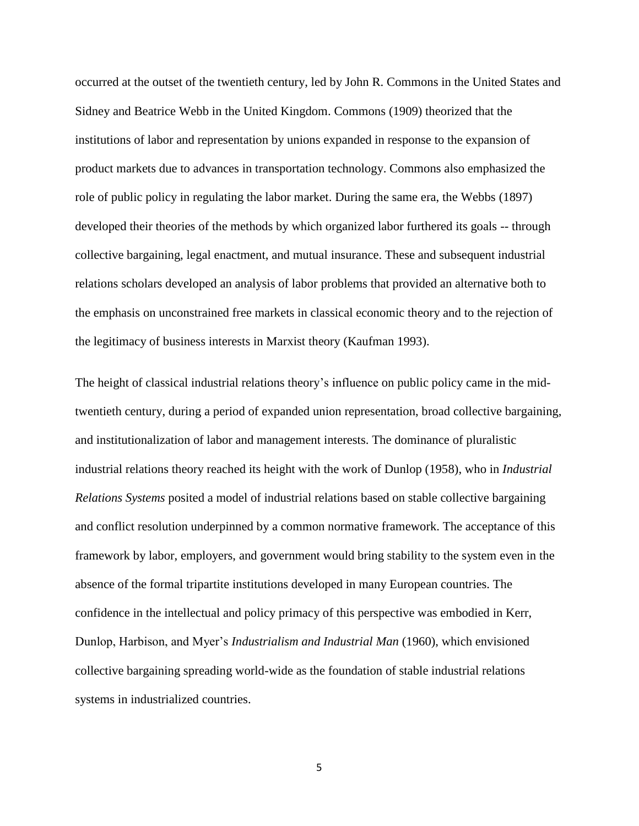occurred at the outset of the twentieth century, led by John R. Commons in the United States and Sidney and Beatrice Webb in the United Kingdom. Commons (1909) theorized that the institutions of labor and representation by unions expanded in response to the expansion of product markets due to advances in transportation technology. Commons also emphasized the role of public policy in regulating the labor market. During the same era, the Webbs (1897) developed their theories of the methods by which organized labor furthered its goals -- through collective bargaining, legal enactment, and mutual insurance. These and subsequent industrial relations scholars developed an analysis of labor problems that provided an alternative both to the emphasis on unconstrained free markets in classical economic theory and to the rejection of the legitimacy of business interests in Marxist theory (Kaufman 1993).

The height of classical industrial relations theory's influence on public policy came in the midtwentieth century, during a period of expanded union representation, broad collective bargaining, and institutionalization of labor and management interests. The dominance of pluralistic industrial relations theory reached its height with the work of Dunlop (1958), who in *Industrial Relations Systems* posited a model of industrial relations based on stable collective bargaining and conflict resolution underpinned by a common normative framework. The acceptance of this framework by labor, employers, and government would bring stability to the system even in the absence of the formal tripartite institutions developed in many European countries. The confidence in the intellectual and policy primacy of this perspective was embodied in Kerr, Dunlop, Harbison, and Myer's *Industrialism and Industrial Man* (1960), which envisioned collective bargaining spreading world-wide as the foundation of stable industrial relations systems in industrialized countries.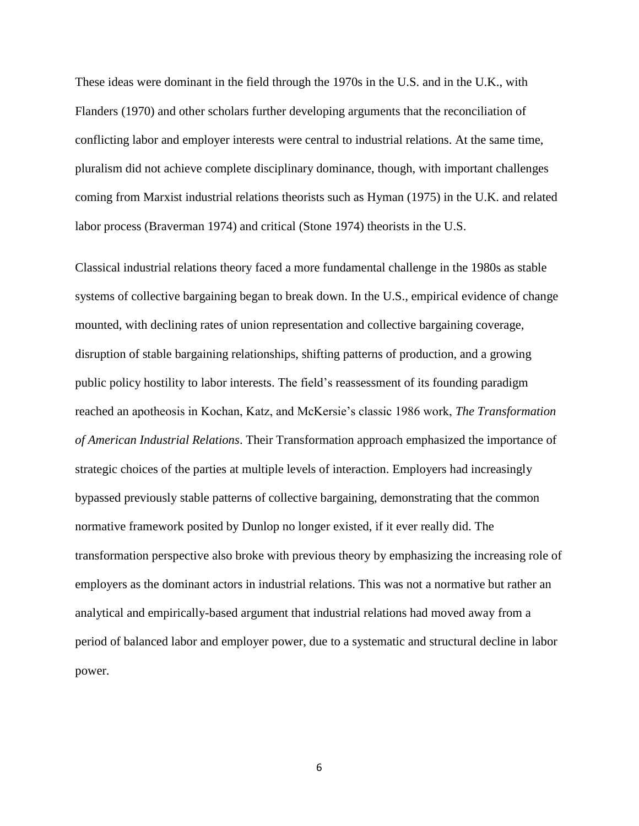These ideas were dominant in the field through the 1970s in the U.S. and in the U.K., with Flanders (1970) and other scholars further developing arguments that the reconciliation of conflicting labor and employer interests were central to industrial relations. At the same time, pluralism did not achieve complete disciplinary dominance, though, with important challenges coming from Marxist industrial relations theorists such as Hyman (1975) in the U.K. and related labor process (Braverman 1974) and critical (Stone 1974) theorists in the U.S.

Classical industrial relations theory faced a more fundamental challenge in the 1980s as stable systems of collective bargaining began to break down. In the U.S., empirical evidence of change mounted, with declining rates of union representation and collective bargaining coverage, disruption of stable bargaining relationships, shifting patterns of production, and a growing public policy hostility to labor interests. The field's reassessment of its founding paradigm reached an apotheosis in Kochan, Katz, and McKersie's classic 1986 work, *The Transformation of American Industrial Relations*. Their Transformation approach emphasized the importance of strategic choices of the parties at multiple levels of interaction. Employers had increasingly bypassed previously stable patterns of collective bargaining, demonstrating that the common normative framework posited by Dunlop no longer existed, if it ever really did. The transformation perspective also broke with previous theory by emphasizing the increasing role of employers as the dominant actors in industrial relations. This was not a normative but rather an analytical and empirically-based argument that industrial relations had moved away from a period of balanced labor and employer power, due to a systematic and structural decline in labor power.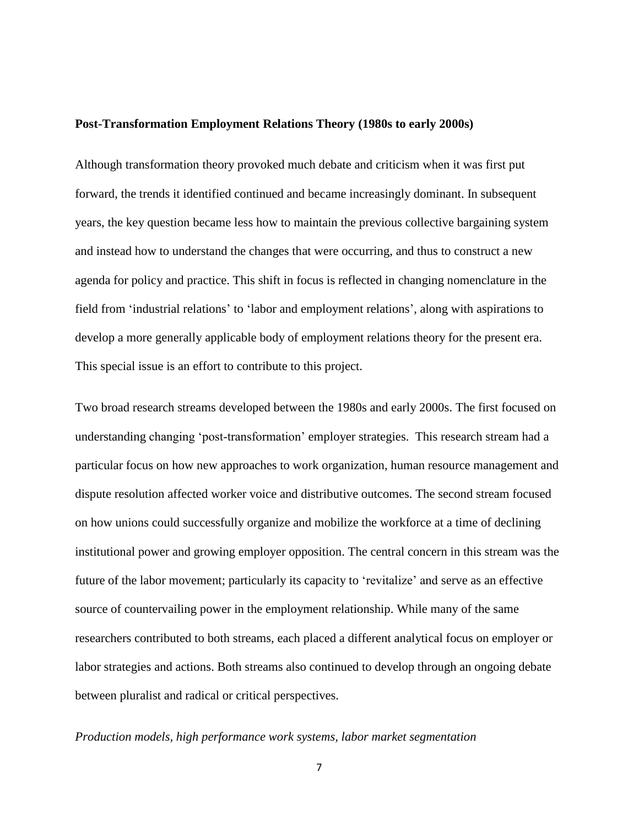#### **Post-Transformation Employment Relations Theory (1980s to early 2000s)**

Although transformation theory provoked much debate and criticism when it was first put forward, the trends it identified continued and became increasingly dominant. In subsequent years, the key question became less how to maintain the previous collective bargaining system and instead how to understand the changes that were occurring, and thus to construct a new agenda for policy and practice. This shift in focus is reflected in changing nomenclature in the field from 'industrial relations' to 'labor and employment relations', along with aspirations to develop a more generally applicable body of employment relations theory for the present era. This special issue is an effort to contribute to this project.

Two broad research streams developed between the 1980s and early 2000s. The first focused on understanding changing 'post-transformation' employer strategies. This research stream had a particular focus on how new approaches to work organization, human resource management and dispute resolution affected worker voice and distributive outcomes. The second stream focused on how unions could successfully organize and mobilize the workforce at a time of declining institutional power and growing employer opposition. The central concern in this stream was the future of the labor movement; particularly its capacity to 'revitalize' and serve as an effective source of countervailing power in the employment relationship. While many of the same researchers contributed to both streams, each placed a different analytical focus on employer or labor strategies and actions. Both streams also continued to develop through an ongoing debate between pluralist and radical or critical perspectives.

### *Production models, high performance work systems, labor market segmentation*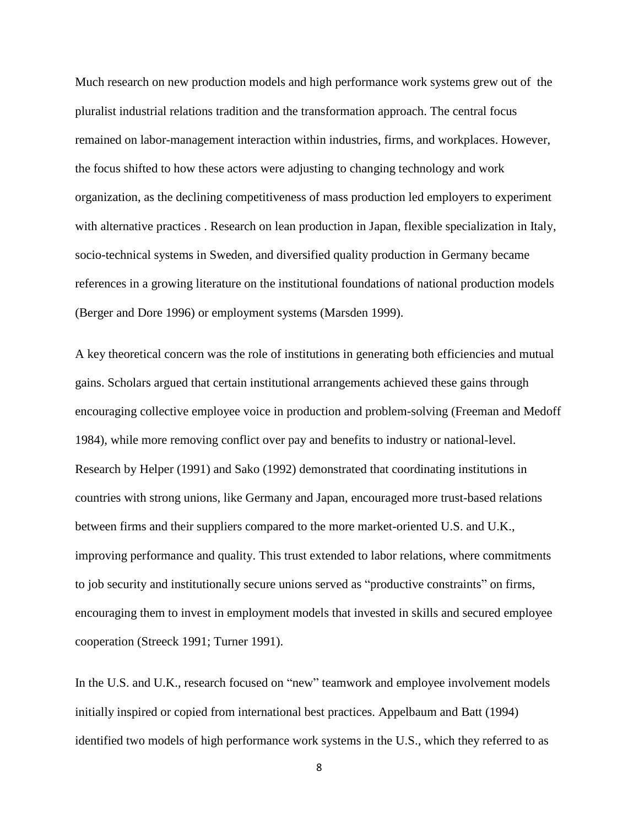Much research on new production models and high performance work systems grew out of the pluralist industrial relations tradition and the transformation approach. The central focus remained on labor-management interaction within industries, firms, and workplaces. However, the focus shifted to how these actors were adjusting to changing technology and work organization, as the declining competitiveness of mass production led employers to experiment with alternative practices . Research on lean production in Japan, flexible specialization in Italy, socio-technical systems in Sweden, and diversified quality production in Germany became references in a growing literature on the institutional foundations of national production models (Berger and Dore 1996) or employment systems (Marsden 1999).

A key theoretical concern was the role of institutions in generating both efficiencies and mutual gains. Scholars argued that certain institutional arrangements achieved these gains through encouraging collective employee voice in production and problem-solving (Freeman and Medoff 1984), while more removing conflict over pay and benefits to industry or national-level. Research by Helper (1991) and Sako (1992) demonstrated that coordinating institutions in countries with strong unions, like Germany and Japan, encouraged more trust-based relations between firms and their suppliers compared to the more market-oriented U.S. and U.K., improving performance and quality. This trust extended to labor relations, where commitments to job security and institutionally secure unions served as "productive constraints" on firms, encouraging them to invest in employment models that invested in skills and secured employee cooperation (Streeck 1991; Turner 1991).

In the U.S. and U.K., research focused on "new" teamwork and employee involvement models initially inspired or copied from international best practices. Appelbaum and Batt (1994) identified two models of high performance work systems in the U.S., which they referred to as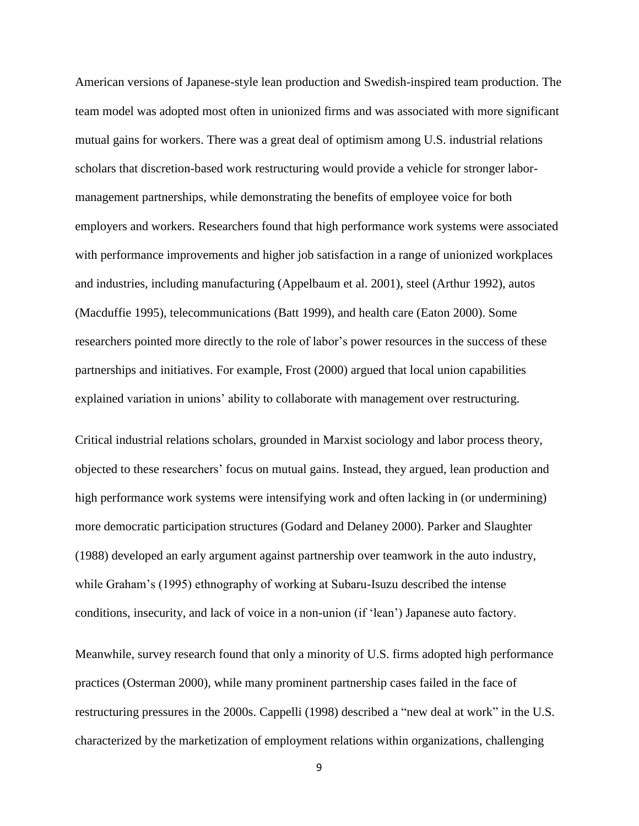American versions of Japanese-style lean production and Swedish-inspired team production. The team model was adopted most often in unionized firms and was associated with more significant mutual gains for workers. There was a great deal of optimism among U.S. industrial relations scholars that discretion-based work restructuring would provide a vehicle for stronger labormanagement partnerships, while demonstrating the benefits of employee voice for both employers and workers. Researchers found that high performance work systems were associated with performance improvements and higher job satisfaction in a range of unionized workplaces and industries, including manufacturing (Appelbaum et al. 2001), steel (Arthur 1992), autos (Macduffie 1995), telecommunications (Batt 1999), and health care (Eaton 2000). Some researchers pointed more directly to the role of labor's power resources in the success of these partnerships and initiatives. For example, Frost (2000) argued that local union capabilities explained variation in unions' ability to collaborate with management over restructuring.

Critical industrial relations scholars, grounded in Marxist sociology and labor process theory, objected to these researchers' focus on mutual gains. Instead, they argued, lean production and high performance work systems were intensifying work and often lacking in (or undermining) more democratic participation structures (Godard and Delaney 2000). Parker and Slaughter (1988) developed an early argument against partnership over teamwork in the auto industry, while Graham's (1995) ethnography of working at Subaru-Isuzu described the intense conditions, insecurity, and lack of voice in a non-union (if 'lean') Japanese auto factory.

Meanwhile, survey research found that only a minority of U.S. firms adopted high performance practices (Osterman 2000), while many prominent partnership cases failed in the face of restructuring pressures in the 2000s. Cappelli (1998) described a "new deal at work" in the U.S. characterized by the marketization of employment relations within organizations, challenging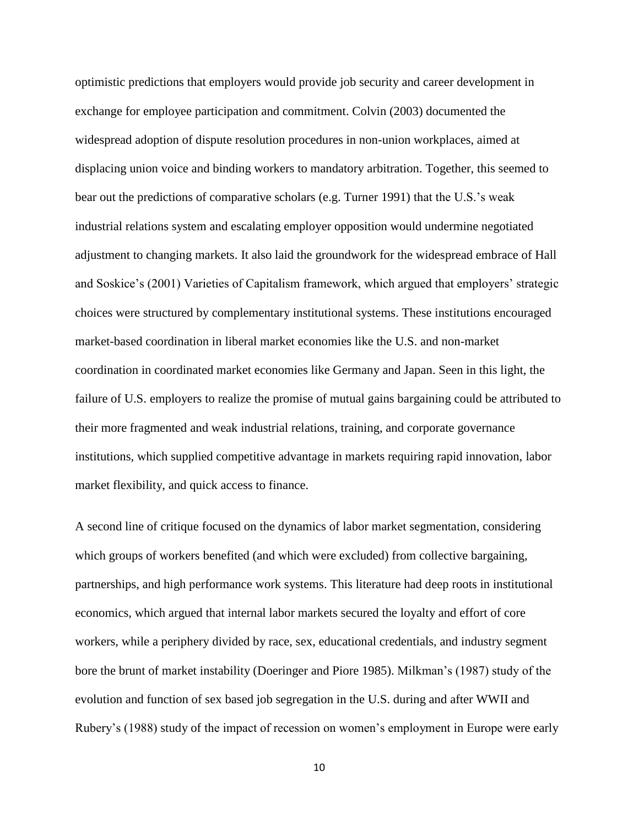optimistic predictions that employers would provide job security and career development in exchange for employee participation and commitment. Colvin (2003) documented the widespread adoption of dispute resolution procedures in non-union workplaces, aimed at displacing union voice and binding workers to mandatory arbitration. Together, this seemed to bear out the predictions of comparative scholars (e.g. Turner 1991) that the U.S.'s weak industrial relations system and escalating employer opposition would undermine negotiated adjustment to changing markets. It also laid the groundwork for the widespread embrace of Hall and Soskice's (2001) Varieties of Capitalism framework, which argued that employers' strategic choices were structured by complementary institutional systems. These institutions encouraged market-based coordination in liberal market economies like the U.S. and non-market coordination in coordinated market economies like Germany and Japan. Seen in this light, the failure of U.S. employers to realize the promise of mutual gains bargaining could be attributed to their more fragmented and weak industrial relations, training, and corporate governance institutions, which supplied competitive advantage in markets requiring rapid innovation, labor market flexibility, and quick access to finance.

A second line of critique focused on the dynamics of labor market segmentation, considering which groups of workers benefited (and which were excluded) from collective bargaining, partnerships, and high performance work systems. This literature had deep roots in institutional economics, which argued that internal labor markets secured the loyalty and effort of core workers, while a periphery divided by race, sex, educational credentials, and industry segment bore the brunt of market instability (Doeringer and Piore 1985). Milkman's (1987) study of the evolution and function of sex based job segregation in the U.S. during and after WWII and Rubery's (1988) study of the impact of recession on women's employment in Europe were early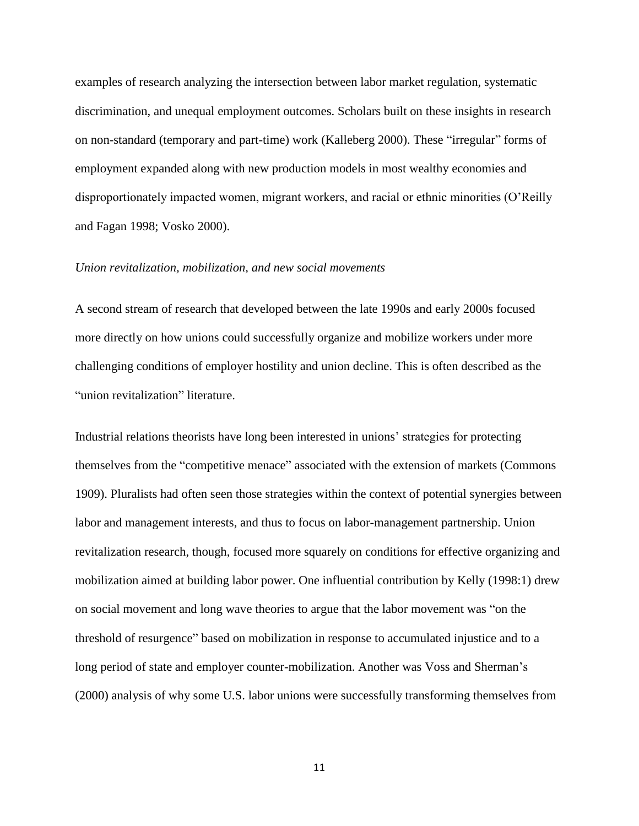examples of research analyzing the intersection between labor market regulation, systematic discrimination, and unequal employment outcomes. Scholars built on these insights in research on non-standard (temporary and part-time) work (Kalleberg 2000). These "irregular" forms of employment expanded along with new production models in most wealthy economies and disproportionately impacted women, migrant workers, and racial or ethnic minorities (O'Reilly and Fagan 1998; Vosko 2000).

#### *Union revitalization, mobilization, and new social movements*

A second stream of research that developed between the late 1990s and early 2000s focused more directly on how unions could successfully organize and mobilize workers under more challenging conditions of employer hostility and union decline. This is often described as the "union revitalization" literature.

Industrial relations theorists have long been interested in unions' strategies for protecting themselves from the "competitive menace" associated with the extension of markets (Commons 1909). Pluralists had often seen those strategies within the context of potential synergies between labor and management interests, and thus to focus on labor-management partnership. Union revitalization research, though, focused more squarely on conditions for effective organizing and mobilization aimed at building labor power. One influential contribution by Kelly (1998:1) drew on social movement and long wave theories to argue that the labor movement was "on the threshold of resurgence" based on mobilization in response to accumulated injustice and to a long period of state and employer counter-mobilization. Another was Voss and Sherman's (2000) analysis of why some U.S. labor unions were successfully transforming themselves from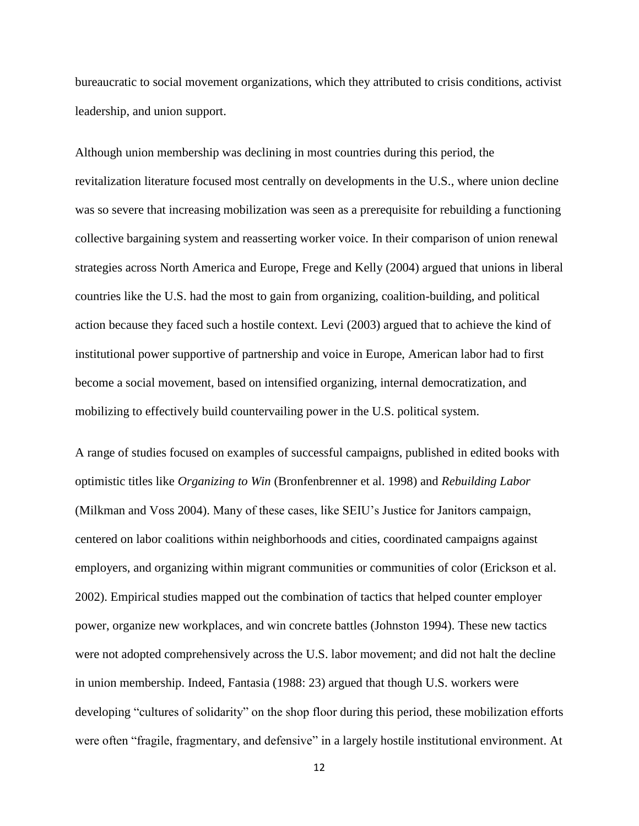bureaucratic to social movement organizations, which they attributed to crisis conditions, activist leadership, and union support.

Although union membership was declining in most countries during this period, the revitalization literature focused most centrally on developments in the U.S., where union decline was so severe that increasing mobilization was seen as a prerequisite for rebuilding a functioning collective bargaining system and reasserting worker voice. In their comparison of union renewal strategies across North America and Europe, Frege and Kelly (2004) argued that unions in liberal countries like the U.S. had the most to gain from organizing, coalition-building, and political action because they faced such a hostile context. Levi (2003) argued that to achieve the kind of institutional power supportive of partnership and voice in Europe, American labor had to first become a social movement, based on intensified organizing, internal democratization, and mobilizing to effectively build countervailing power in the U.S. political system.

A range of studies focused on examples of successful campaigns, published in edited books with optimistic titles like *Organizing to Win* (Bronfenbrenner et al. 1998) and *Rebuilding Labor* (Milkman and Voss 2004). Many of these cases, like SEIU's Justice for Janitors campaign, centered on labor coalitions within neighborhoods and cities, coordinated campaigns against employers, and organizing within migrant communities or communities of color (Erickson et al. 2002). Empirical studies mapped out the combination of tactics that helped counter employer power, organize new workplaces, and win concrete battles (Johnston 1994). These new tactics were not adopted comprehensively across the U.S. labor movement; and did not halt the decline in union membership. Indeed, Fantasia (1988: 23) argued that though U.S. workers were developing "cultures of solidarity" on the shop floor during this period, these mobilization efforts were often "fragile, fragmentary, and defensive" in a largely hostile institutional environment. At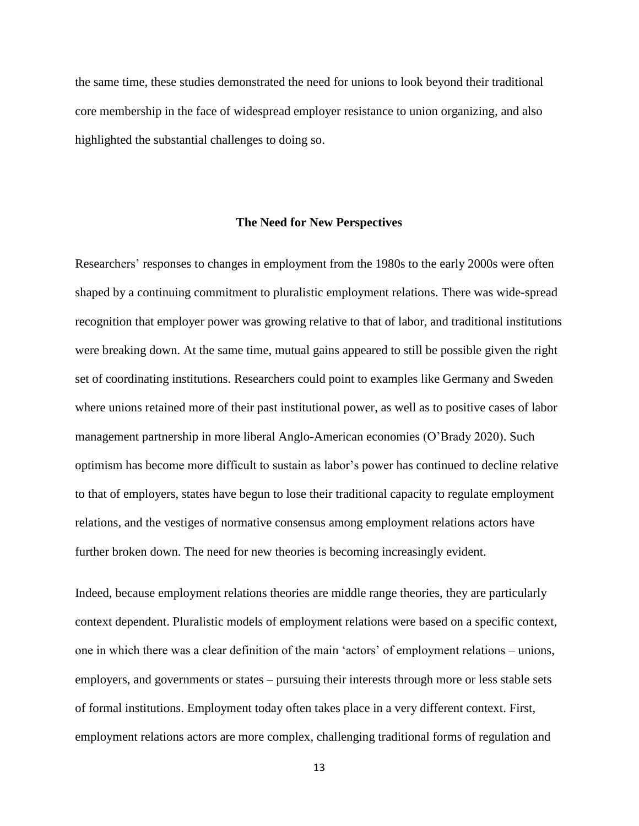the same time, these studies demonstrated the need for unions to look beyond their traditional core membership in the face of widespread employer resistance to union organizing, and also highlighted the substantial challenges to doing so.

#### **The Need for New Perspectives**

Researchers' responses to changes in employment from the 1980s to the early 2000s were often shaped by a continuing commitment to pluralistic employment relations. There was wide-spread recognition that employer power was growing relative to that of labor, and traditional institutions were breaking down. At the same time, mutual gains appeared to still be possible given the right set of coordinating institutions. Researchers could point to examples like Germany and Sweden where unions retained more of their past institutional power, as well as to positive cases of labor management partnership in more liberal Anglo-American economies (O'Brady 2020). Such optimism has become more difficult to sustain as labor's power has continued to decline relative to that of employers, states have begun to lose their traditional capacity to regulate employment relations, and the vestiges of normative consensus among employment relations actors have further broken down. The need for new theories is becoming increasingly evident.

Indeed, because employment relations theories are middle range theories, they are particularly context dependent. Pluralistic models of employment relations were based on a specific context, one in which there was a clear definition of the main 'actors' of employment relations – unions, employers, and governments or states – pursuing their interests through more or less stable sets of formal institutions. Employment today often takes place in a very different context. First, employment relations actors are more complex, challenging traditional forms of regulation and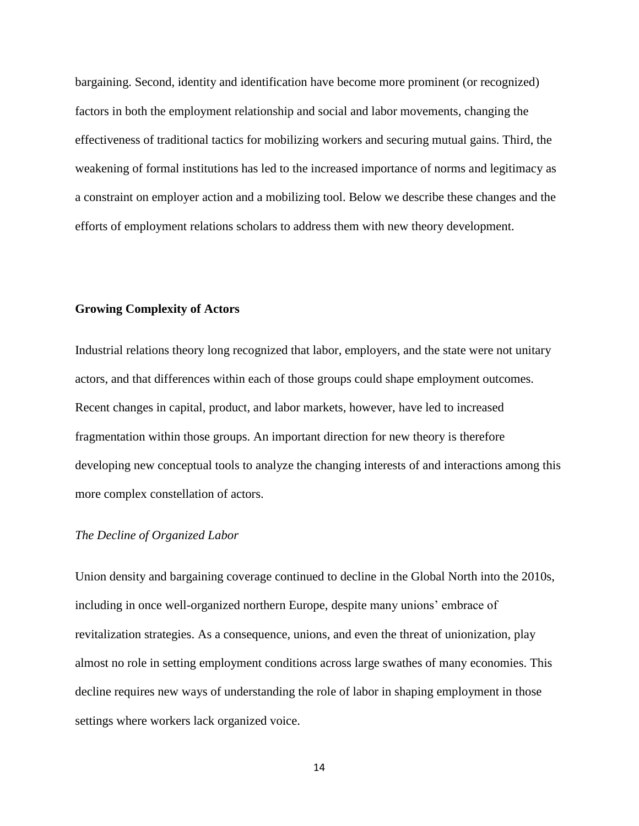bargaining. Second, identity and identification have become more prominent (or recognized) factors in both the employment relationship and social and labor movements, changing the effectiveness of traditional tactics for mobilizing workers and securing mutual gains. Third, the weakening of formal institutions has led to the increased importance of norms and legitimacy as a constraint on employer action and a mobilizing tool. Below we describe these changes and the efforts of employment relations scholars to address them with new theory development.

## **Growing Complexity of Actors**

Industrial relations theory long recognized that labor, employers, and the state were not unitary actors, and that differences within each of those groups could shape employment outcomes. Recent changes in capital, product, and labor markets, however, have led to increased fragmentation within those groups. An important direction for new theory is therefore developing new conceptual tools to analyze the changing interests of and interactions among this more complex constellation of actors.

## *The Decline of Organized Labor*

Union density and bargaining coverage continued to decline in the Global North into the 2010s, including in once well-organized northern Europe, despite many unions' embrace of revitalization strategies. As a consequence, unions, and even the threat of unionization, play almost no role in setting employment conditions across large swathes of many economies. This decline requires new ways of understanding the role of labor in shaping employment in those settings where workers lack organized voice.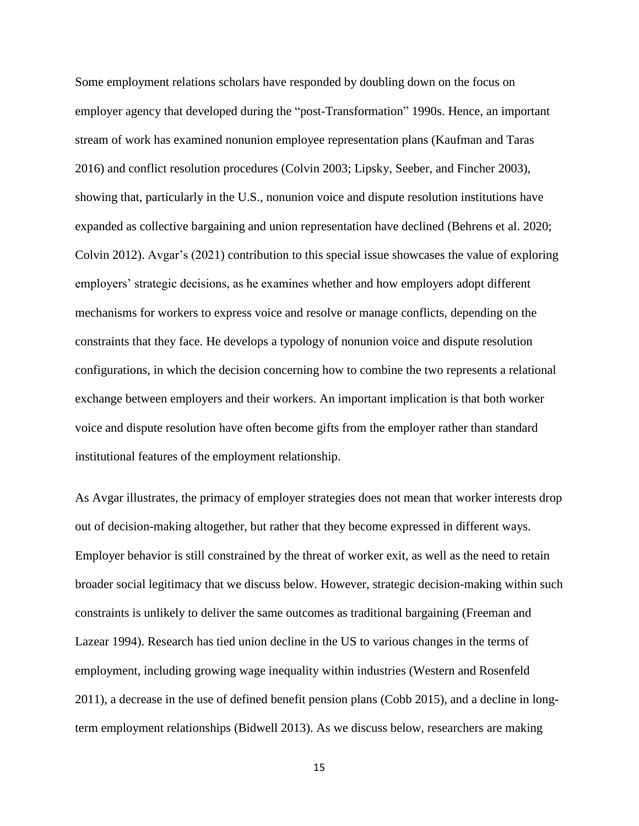Some employment relations scholars have responded by doubling down on the focus on employer agency that developed during the "post-Transformation" 1990s. Hence, an important stream of work has examined nonunion employee representation plans (Kaufman and Taras 2016) and conflict resolution procedures (Colvin 2003; Lipsky, Seeber, and Fincher 2003), showing that, particularly in the U.S., nonunion voice and dispute resolution institutions have expanded as collective bargaining and union representation have declined (Behrens et al. 2020; Colvin 2012). Avgar's (2021) contribution to this special issue showcases the value of exploring employers' strategic decisions, as he examines whether and how employers adopt different mechanisms for workers to express voice and resolve or manage conflicts, depending on the constraints that they face. He develops a typology of nonunion voice and dispute resolution configurations, in which the decision concerning how to combine the two represents a relational exchange between employers and their workers. An important implication is that both worker voice and dispute resolution have often become gifts from the employer rather than standard institutional features of the employment relationship.

As Avgar illustrates, the primacy of employer strategies does not mean that worker interests drop out of decision-making altogether, but rather that they become expressed in different ways. Employer behavior is still constrained by the threat of worker exit, as well as the need to retain broader social legitimacy that we discuss below. However, strategic decision-making within such constraints is unlikely to deliver the same outcomes as traditional bargaining (Freeman and Lazear 1994). Research has tied union decline in the US to various changes in the terms of employment, including growing wage inequality within industries (Western and Rosenfeld 2011), a decrease in the use of defined benefit pension plans (Cobb 2015), and a decline in longterm employment relationships (Bidwell 2013). As we discuss below, researchers are making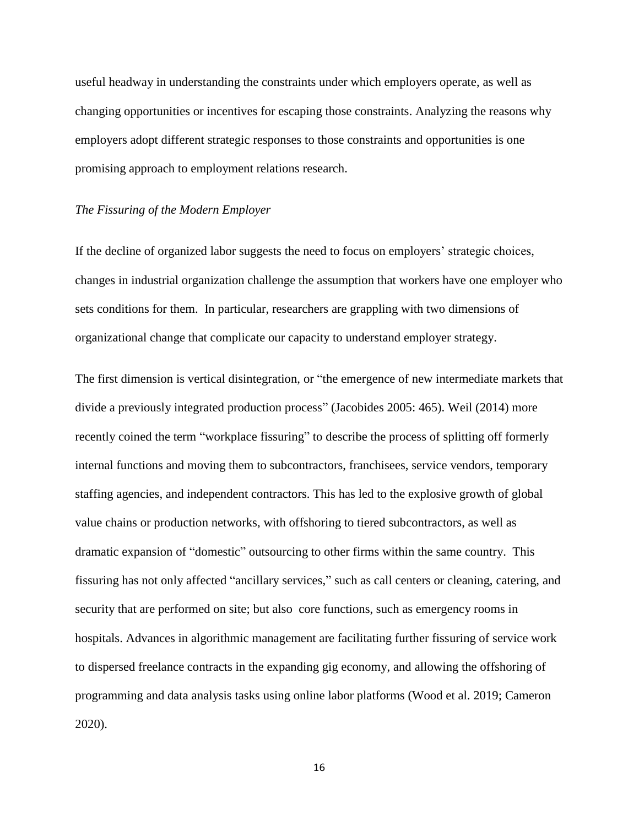useful headway in understanding the constraints under which employers operate, as well as changing opportunities or incentives for escaping those constraints. Analyzing the reasons why employers adopt different strategic responses to those constraints and opportunities is one promising approach to employment relations research.

#### *The Fissuring of the Modern Employer*

If the decline of organized labor suggests the need to focus on employers' strategic choices, changes in industrial organization challenge the assumption that workers have one employer who sets conditions for them. In particular, researchers are grappling with two dimensions of organizational change that complicate our capacity to understand employer strategy.

The first dimension is vertical disintegration, or "the emergence of new intermediate markets that divide a previously integrated production process" (Jacobides 2005: 465). Weil (2014) more recently coined the term "workplace fissuring" to describe the process of splitting off formerly internal functions and moving them to subcontractors, franchisees, service vendors, temporary staffing agencies, and independent contractors. This has led to the explosive growth of global value chains or production networks, with offshoring to tiered subcontractors, as well as dramatic expansion of "domestic" outsourcing to other firms within the same country. This fissuring has not only affected "ancillary services," such as call centers or cleaning, catering, and security that are performed on site; but also core functions, such as emergency rooms in hospitals. Advances in algorithmic management are facilitating further fissuring of service work to dispersed freelance contracts in the expanding gig economy, and allowing the offshoring of programming and data analysis tasks using online labor platforms (Wood et al. 2019; Cameron 2020).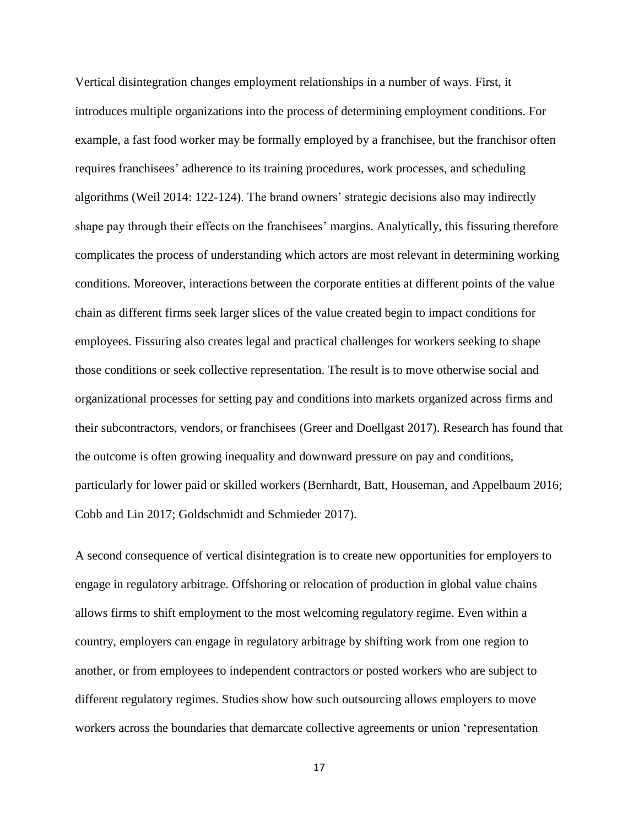Vertical disintegration changes employment relationships in a number of ways. First, it introduces multiple organizations into the process of determining employment conditions. For example, a fast food worker may be formally employed by a franchisee, but the franchisor often requires franchisees' adherence to its training procedures, work processes, and scheduling algorithms (Weil 2014: 122-124). The brand owners' strategic decisions also may indirectly shape pay through their effects on the franchisees' margins. Analytically, this fissuring therefore complicates the process of understanding which actors are most relevant in determining working conditions. Moreover, interactions between the corporate entities at different points of the value chain as different firms seek larger slices of the value created begin to impact conditions for employees. Fissuring also creates legal and practical challenges for workers seeking to shape those conditions or seek collective representation. The result is to move otherwise social and organizational processes for setting pay and conditions into markets organized across firms and their subcontractors, vendors, or franchisees (Greer and Doellgast 2017). Research has found that the outcome is often growing inequality and downward pressure on pay and conditions, particularly for lower paid or skilled workers (Bernhardt, Batt, Houseman, and Appelbaum 2016; Cobb and Lin 2017; Goldschmidt and Schmieder 2017).

A second consequence of vertical disintegration is to create new opportunities for employers to engage in regulatory arbitrage. Offshoring or relocation of production in global value chains allows firms to shift employment to the most welcoming regulatory regime. Even within a country, employers can engage in regulatory arbitrage by shifting work from one region to another, or from employees to independent contractors or posted workers who are subject to different regulatory regimes. Studies show how such outsourcing allows employers to move workers across the boundaries that demarcate collective agreements or union 'representation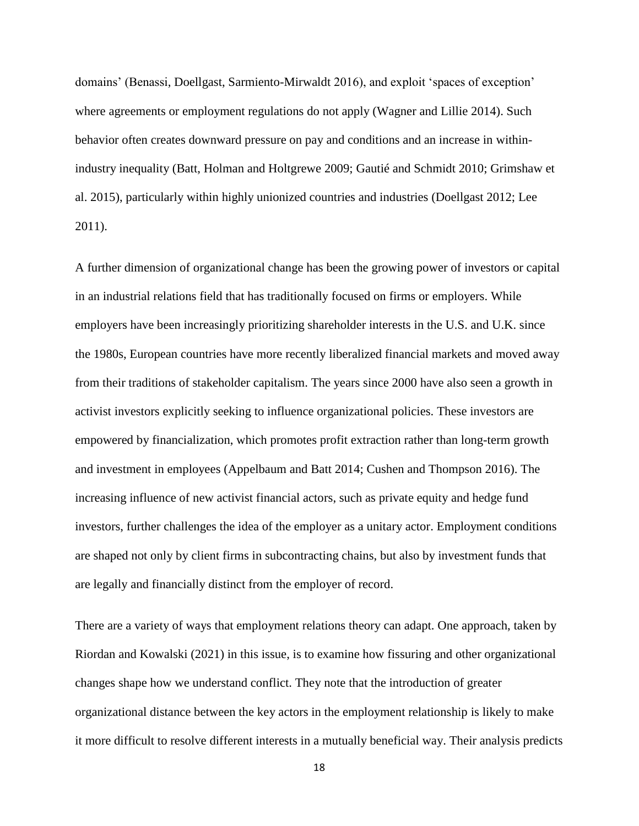domains' (Benassi, Doellgast, Sarmiento-Mirwaldt 2016), and exploit 'spaces of exception' where agreements or employment regulations do not apply (Wagner and Lillie 2014). Such behavior often creates downward pressure on pay and conditions and an increase in withinindustry inequality (Batt, Holman and Holtgrewe 2009; Gautié and Schmidt 2010; Grimshaw et al. 2015), particularly within highly unionized countries and industries (Doellgast 2012; Lee 2011).

A further dimension of organizational change has been the growing power of investors or capital in an industrial relations field that has traditionally focused on firms or employers. While employers have been increasingly prioritizing shareholder interests in the U.S. and U.K. since the 1980s, European countries have more recently liberalized financial markets and moved away from their traditions of stakeholder capitalism. The years since 2000 have also seen a growth in activist investors explicitly seeking to influence organizational policies. These investors are empowered by financialization, which promotes profit extraction rather than long-term growth and investment in employees (Appelbaum and Batt 2014; Cushen and Thompson 2016). The increasing influence of new activist financial actors, such as private equity and hedge fund investors, further challenges the idea of the employer as a unitary actor. Employment conditions are shaped not only by client firms in subcontracting chains, but also by investment funds that are legally and financially distinct from the employer of record.

There are a variety of ways that employment relations theory can adapt. One approach, taken by Riordan and Kowalski (2021) in this issue, is to examine how fissuring and other organizational changes shape how we understand conflict. They note that the introduction of greater organizational distance between the key actors in the employment relationship is likely to make it more difficult to resolve different interests in a mutually beneficial way. Their analysis predicts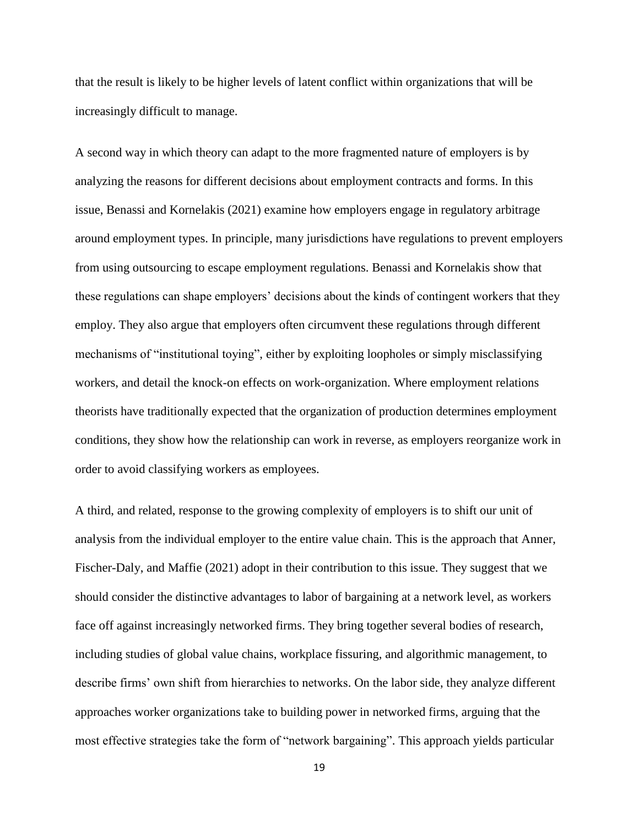that the result is likely to be higher levels of latent conflict within organizations that will be increasingly difficult to manage.

A second way in which theory can adapt to the more fragmented nature of employers is by analyzing the reasons for different decisions about employment contracts and forms. In this issue, Benassi and Kornelakis (2021) examine how employers engage in regulatory arbitrage around employment types. In principle, many jurisdictions have regulations to prevent employers from using outsourcing to escape employment regulations. Benassi and Kornelakis show that these regulations can shape employers' decisions about the kinds of contingent workers that they employ. They also argue that employers often circumvent these regulations through different mechanisms of "institutional toying", either by exploiting loopholes or simply misclassifying workers, and detail the knock-on effects on work-organization. Where employment relations theorists have traditionally expected that the organization of production determines employment conditions, they show how the relationship can work in reverse, as employers reorganize work in order to avoid classifying workers as employees.

A third, and related, response to the growing complexity of employers is to shift our unit of analysis from the individual employer to the entire value chain. This is the approach that Anner, Fischer-Daly, and Maffie (2021) adopt in their contribution to this issue. They suggest that we should consider the distinctive advantages to labor of bargaining at a network level, as workers face off against increasingly networked firms. They bring together several bodies of research, including studies of global value chains, workplace fissuring, and algorithmic management, to describe firms' own shift from hierarchies to networks. On the labor side, they analyze different approaches worker organizations take to building power in networked firms, arguing that the most effective strategies take the form of "network bargaining". This approach yields particular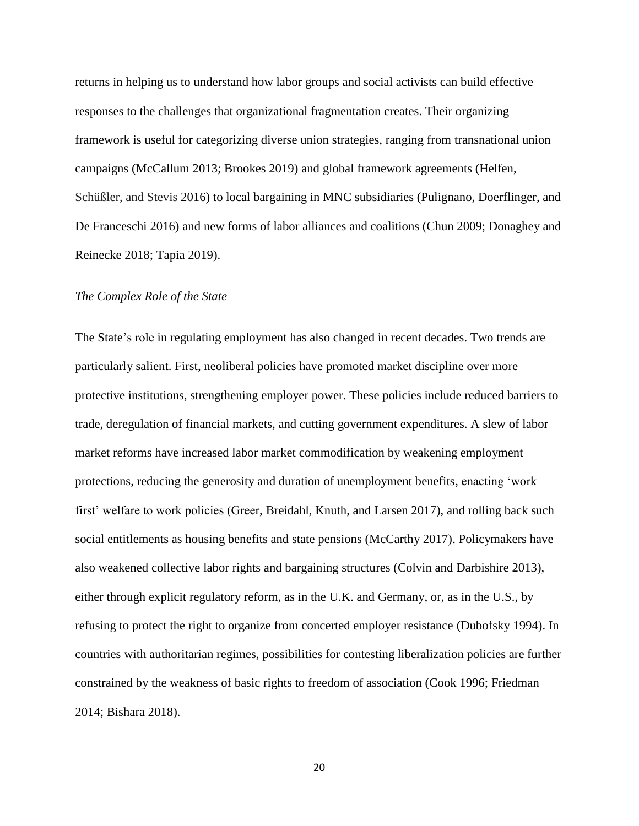returns in helping us to understand how labor groups and social activists can build effective responses to the challenges that organizational fragmentation creates. Their organizing framework is useful for categorizing diverse union strategies, ranging from transnational union campaigns (McCallum 2013; Brookes 2019) and global framework agreements (Helfen, Schüßler, and Stevis 2016) to local bargaining in MNC subsidiaries (Pulignano, Doerflinger, and De Franceschi 2016) and new forms of labor alliances and coalitions (Chun 2009; Donaghey and Reinecke 2018; Tapia 2019).

### *The Complex Role of the State*

The State's role in regulating employment has also changed in recent decades. Two trends are particularly salient. First, neoliberal policies have promoted market discipline over more protective institutions, strengthening employer power. These policies include reduced barriers to trade, deregulation of financial markets, and cutting government expenditures. A slew of labor market reforms have increased labor market commodification by weakening employment protections, reducing the generosity and duration of unemployment benefits, enacting 'work first' welfare to work policies (Greer, Breidahl, Knuth, and Larsen 2017), and rolling back such social entitlements as housing benefits and state pensions (McCarthy 2017). Policymakers have also weakened collective labor rights and bargaining structures (Colvin and Darbishire 2013), either through explicit regulatory reform, as in the U.K. and Germany, or, as in the U.S., by refusing to protect the right to organize from concerted employer resistance (Dubofsky 1994). In countries with authoritarian regimes, possibilities for contesting liberalization policies are further constrained by the weakness of basic rights to freedom of association (Cook 1996; Friedman 2014; Bishara 2018).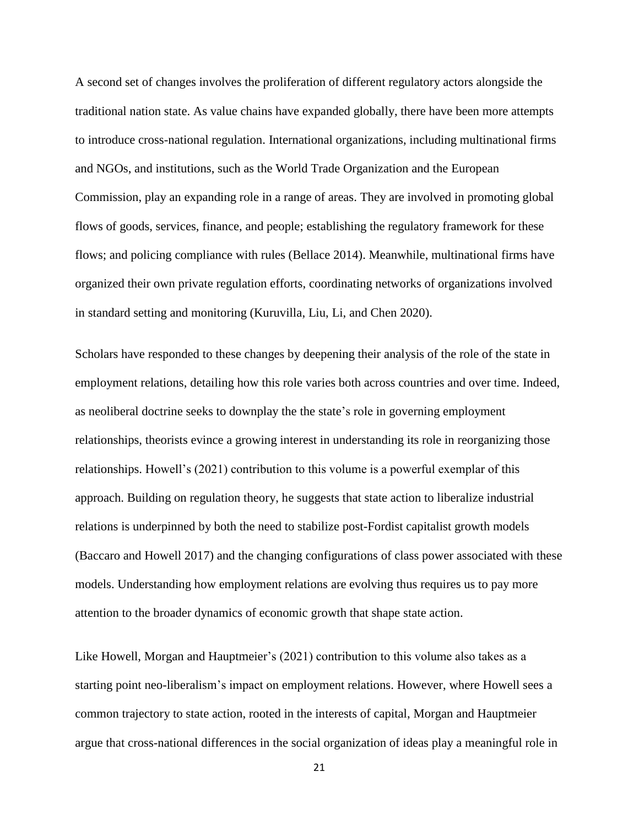A second set of changes involves the proliferation of different regulatory actors alongside the traditional nation state. As value chains have expanded globally, there have been more attempts to introduce cross-national regulation. International organizations, including multinational firms and NGOs, and institutions, such as the World Trade Organization and the European Commission, play an expanding role in a range of areas. They are involved in promoting global flows of goods, services, finance, and people; establishing the regulatory framework for these flows; and policing compliance with rules (Bellace 2014). Meanwhile, multinational firms have organized their own private regulation efforts, coordinating networks of organizations involved in standard setting and monitoring (Kuruvilla, Liu, Li, and Chen 2020).

Scholars have responded to these changes by deepening their analysis of the role of the state in employment relations, detailing how this role varies both across countries and over time. Indeed, as neoliberal doctrine seeks to downplay the the state's role in governing employment relationships, theorists evince a growing interest in understanding its role in reorganizing those relationships. Howell's (2021) contribution to this volume is a powerful exemplar of this approach. Building on regulation theory, he suggests that state action to liberalize industrial relations is underpinned by both the need to stabilize post-Fordist capitalist growth models (Baccaro and Howell 2017) and the changing configurations of class power associated with these models. Understanding how employment relations are evolving thus requires us to pay more attention to the broader dynamics of economic growth that shape state action.

Like Howell, Morgan and Hauptmeier's (2021) contribution to this volume also takes as a starting point neo-liberalism's impact on employment relations. However, where Howell sees a common trajectory to state action, rooted in the interests of capital, Morgan and Hauptmeier argue that cross-national differences in the social organization of ideas play a meaningful role in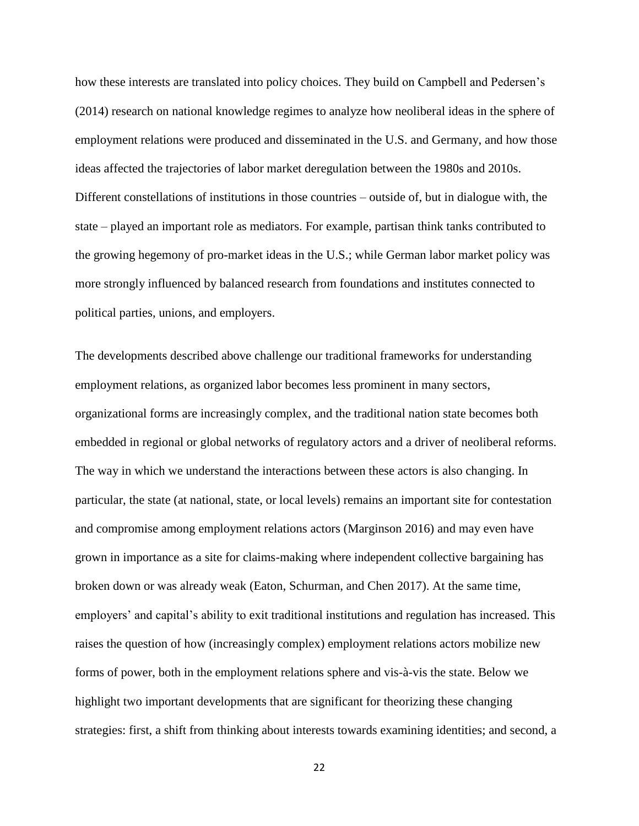how these interests are translated into policy choices. They build on Campbell and Pedersen's (2014) research on national knowledge regimes to analyze how neoliberal ideas in the sphere of employment relations were produced and disseminated in the U.S. and Germany, and how those ideas affected the trajectories of labor market deregulation between the 1980s and 2010s. Different constellations of institutions in those countries – outside of, but in dialogue with, the state – played an important role as mediators. For example, partisan think tanks contributed to the growing hegemony of pro-market ideas in the U.S.; while German labor market policy was more strongly influenced by balanced research from foundations and institutes connected to political parties, unions, and employers.

The developments described above challenge our traditional frameworks for understanding employment relations, as organized labor becomes less prominent in many sectors, organizational forms are increasingly complex, and the traditional nation state becomes both embedded in regional or global networks of regulatory actors and a driver of neoliberal reforms. The way in which we understand the interactions between these actors is also changing. In particular, the state (at national, state, or local levels) remains an important site for contestation and compromise among employment relations actors (Marginson 2016) and may even have grown in importance as a site for claims-making where independent collective bargaining has broken down or was already weak (Eaton, Schurman, and Chen 2017). At the same time, employers' and capital's ability to exit traditional institutions and regulation has increased. This raises the question of how (increasingly complex) employment relations actors mobilize new forms of power, both in the employment relations sphere and vis-à-vis the state. Below we highlight two important developments that are significant for theorizing these changing strategies: first, a shift from thinking about interests towards examining identities; and second, a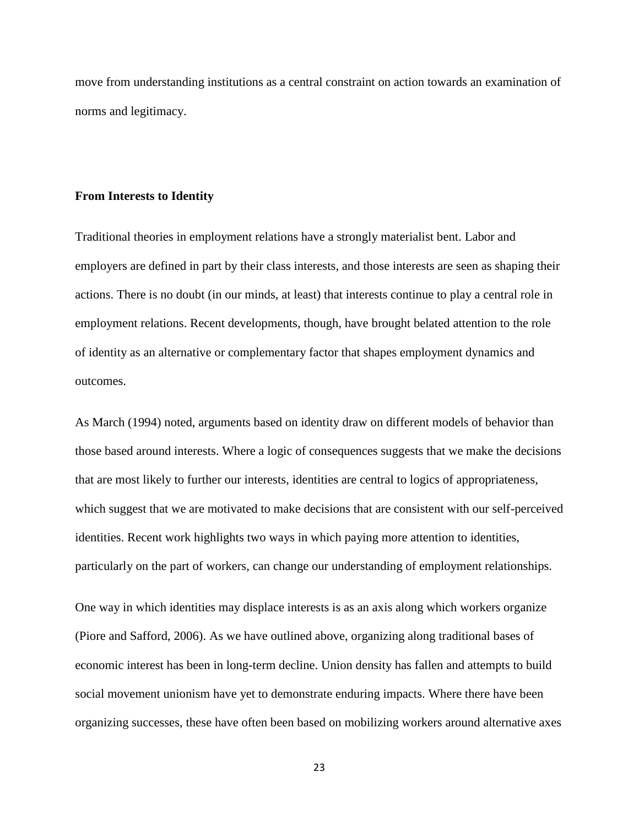move from understanding institutions as a central constraint on action towards an examination of norms and legitimacy.

#### **From Interests to Identity**

Traditional theories in employment relations have a strongly materialist bent. Labor and employers are defined in part by their class interests, and those interests are seen as shaping their actions. There is no doubt (in our minds, at least) that interests continue to play a central role in employment relations. Recent developments, though, have brought belated attention to the role of identity as an alternative or complementary factor that shapes employment dynamics and outcomes.

As March (1994) noted, arguments based on identity draw on different models of behavior than those based around interests. Where a logic of consequences suggests that we make the decisions that are most likely to further our interests, identities are central to logics of appropriateness, which suggest that we are motivated to make decisions that are consistent with our self-perceived identities. Recent work highlights two ways in which paying more attention to identities, particularly on the part of workers, can change our understanding of employment relationships.

One way in which identities may displace interests is as an axis along which workers organize (Piore and Safford, 2006). As we have outlined above, organizing along traditional bases of economic interest has been in long-term decline. Union density has fallen and attempts to build social movement unionism have yet to demonstrate enduring impacts. Where there have been organizing successes, these have often been based on mobilizing workers around alternative axes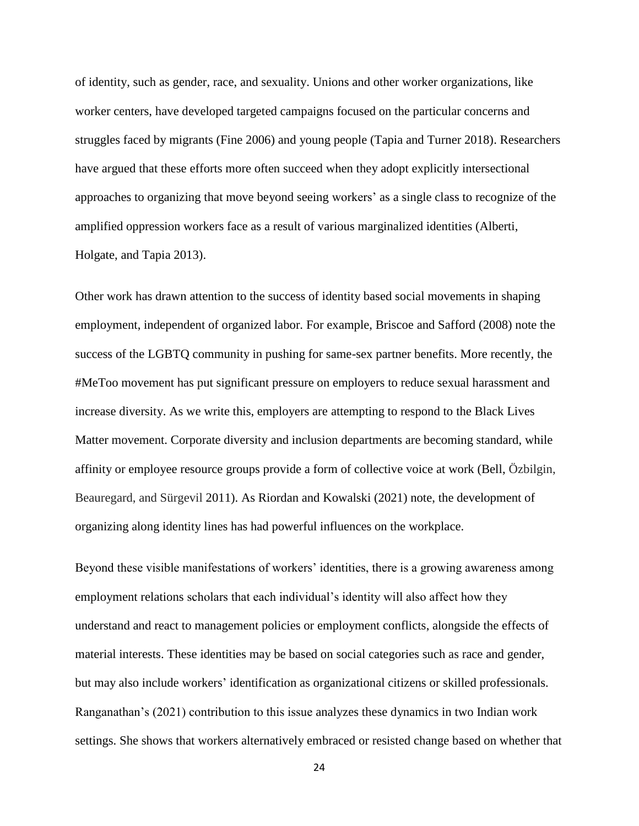of identity, such as gender, race, and sexuality. Unions and other worker organizations, like worker centers, have developed targeted campaigns focused on the particular concerns and struggles faced by migrants (Fine 2006) and young people (Tapia and Turner 2018). Researchers have argued that these efforts more often succeed when they adopt explicitly intersectional approaches to organizing that move beyond seeing workers' as a single class to recognize of the amplified oppression workers face as a result of various marginalized identities (Alberti, Holgate, and Tapia 2013).

Other work has drawn attention to the success of identity based social movements in shaping employment, independent of organized labor. For example, Briscoe and Safford (2008) note the success of the LGBTQ community in pushing for same-sex partner benefits. More recently, the #MeToo movement has put significant pressure on employers to reduce sexual harassment and increase diversity. As we write this, employers are attempting to respond to the Black Lives Matter movement. Corporate diversity and inclusion departments are becoming standard, while affinity or employee resource groups provide a form of collective voice at work (Bell, Özbilgin, Beauregard, and Sürgevil 2011). As Riordan and Kowalski (2021) note, the development of organizing along identity lines has had powerful influences on the workplace.

Beyond these visible manifestations of workers' identities, there is a growing awareness among employment relations scholars that each individual's identity will also affect how they understand and react to management policies or employment conflicts, alongside the effects of material interests. These identities may be based on social categories such as race and gender, but may also include workers' identification as organizational citizens or skilled professionals. Ranganathan's (2021) contribution to this issue analyzes these dynamics in two Indian work settings. She shows that workers alternatively embraced or resisted change based on whether that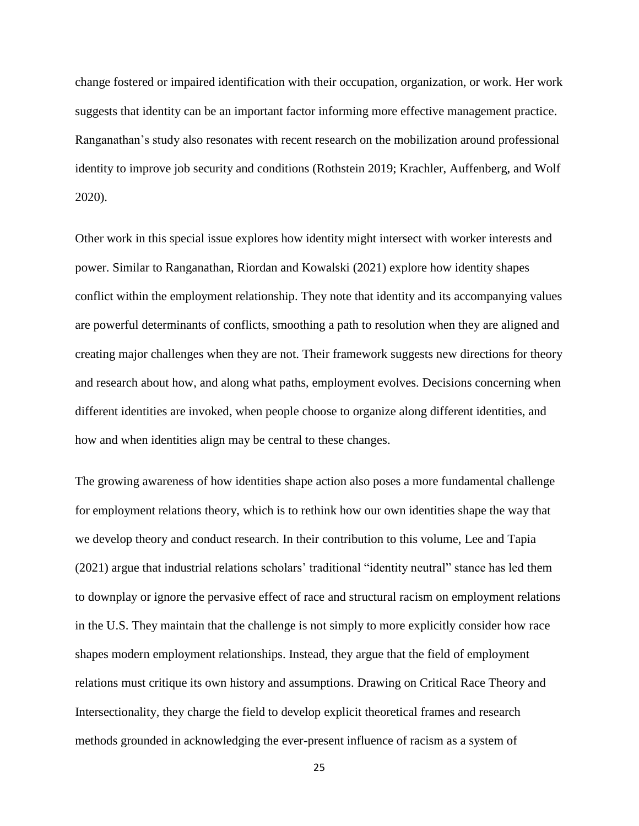change fostered or impaired identification with their occupation, organization, or work. Her work suggests that identity can be an important factor informing more effective management practice. Ranganathan's study also resonates with recent research on the mobilization around professional identity to improve job security and conditions (Rothstein 2019; Krachler, Auffenberg, and Wolf 2020).

Other work in this special issue explores how identity might intersect with worker interests and power. Similar to Ranganathan, Riordan and Kowalski (2021) explore how identity shapes conflict within the employment relationship. They note that identity and its accompanying values are powerful determinants of conflicts, smoothing a path to resolution when they are aligned and creating major challenges when they are not. Their framework suggests new directions for theory and research about how, and along what paths, employment evolves. Decisions concerning when different identities are invoked, when people choose to organize along different identities, and how and when identities align may be central to these changes.

The growing awareness of how identities shape action also poses a more fundamental challenge for employment relations theory, which is to rethink how our own identities shape the way that we develop theory and conduct research. In their contribution to this volume, Lee and Tapia (2021) argue that industrial relations scholars' traditional "identity neutral" stance has led them to downplay or ignore the pervasive effect of race and structural racism on employment relations in the U.S. They maintain that the challenge is not simply to more explicitly consider how race shapes modern employment relationships. Instead, they argue that the field of employment relations must critique its own history and assumptions. Drawing on Critical Race Theory and Intersectionality, they charge the field to develop explicit theoretical frames and research methods grounded in acknowledging the ever-present influence of racism as a system of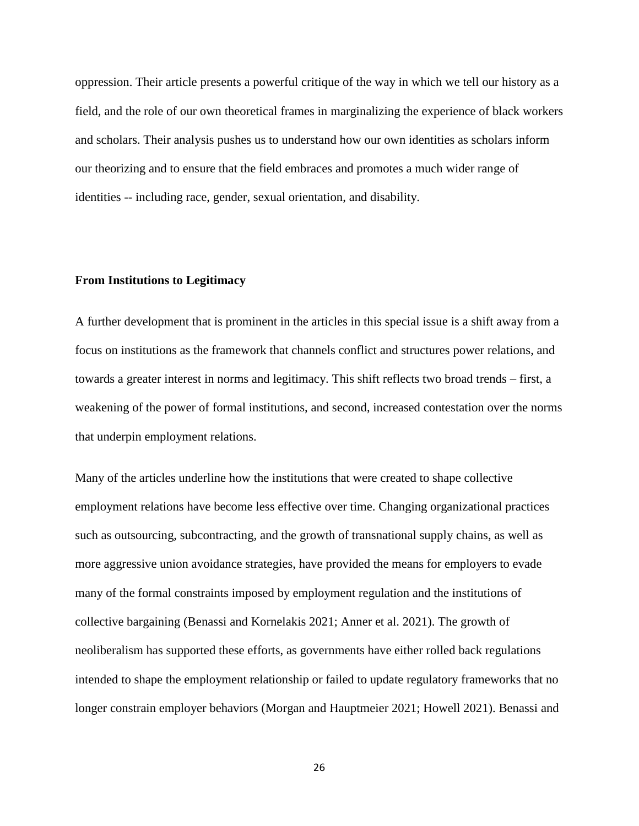oppression. Their article presents a powerful critique of the way in which we tell our history as a field, and the role of our own theoretical frames in marginalizing the experience of black workers and scholars. Their analysis pushes us to understand how our own identities as scholars inform our theorizing and to ensure that the field embraces and promotes a much wider range of identities -- including race, gender, sexual orientation, and disability.

## **From Institutions to Legitimacy**

A further development that is prominent in the articles in this special issue is a shift away from a focus on institutions as the framework that channels conflict and structures power relations, and towards a greater interest in norms and legitimacy. This shift reflects two broad trends – first, a weakening of the power of formal institutions, and second, increased contestation over the norms that underpin employment relations.

Many of the articles underline how the institutions that were created to shape collective employment relations have become less effective over time. Changing organizational practices such as outsourcing, subcontracting, and the growth of transnational supply chains, as well as more aggressive union avoidance strategies, have provided the means for employers to evade many of the formal constraints imposed by employment regulation and the institutions of collective bargaining (Benassi and Kornelakis 2021; Anner et al. 2021). The growth of neoliberalism has supported these efforts, as governments have either rolled back regulations intended to shape the employment relationship or failed to update regulatory frameworks that no longer constrain employer behaviors (Morgan and Hauptmeier 2021; Howell 2021). Benassi and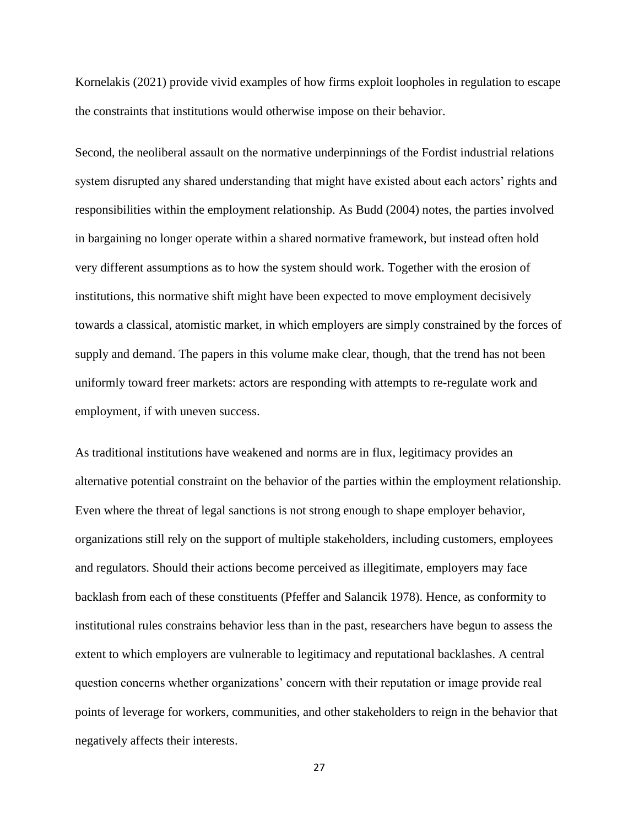Kornelakis (2021) provide vivid examples of how firms exploit loopholes in regulation to escape the constraints that institutions would otherwise impose on their behavior.

Second, the neoliberal assault on the normative underpinnings of the Fordist industrial relations system disrupted any shared understanding that might have existed about each actors' rights and responsibilities within the employment relationship. As Budd (2004) notes, the parties involved in bargaining no longer operate within a shared normative framework, but instead often hold very different assumptions as to how the system should work. Together with the erosion of institutions, this normative shift might have been expected to move employment decisively towards a classical, atomistic market, in which employers are simply constrained by the forces of supply and demand. The papers in this volume make clear, though, that the trend has not been uniformly toward freer markets: actors are responding with attempts to re-regulate work and employment, if with uneven success.

As traditional institutions have weakened and norms are in flux, legitimacy provides an alternative potential constraint on the behavior of the parties within the employment relationship. Even where the threat of legal sanctions is not strong enough to shape employer behavior, organizations still rely on the support of multiple stakeholders, including customers, employees and regulators. Should their actions become perceived as illegitimate, employers may face backlash from each of these constituents (Pfeffer and Salancik 1978). Hence, as conformity to institutional rules constrains behavior less than in the past, researchers have begun to assess the extent to which employers are vulnerable to legitimacy and reputational backlashes. A central question concerns whether organizations' concern with their reputation or image provide real points of leverage for workers, communities, and other stakeholders to reign in the behavior that negatively affects their interests.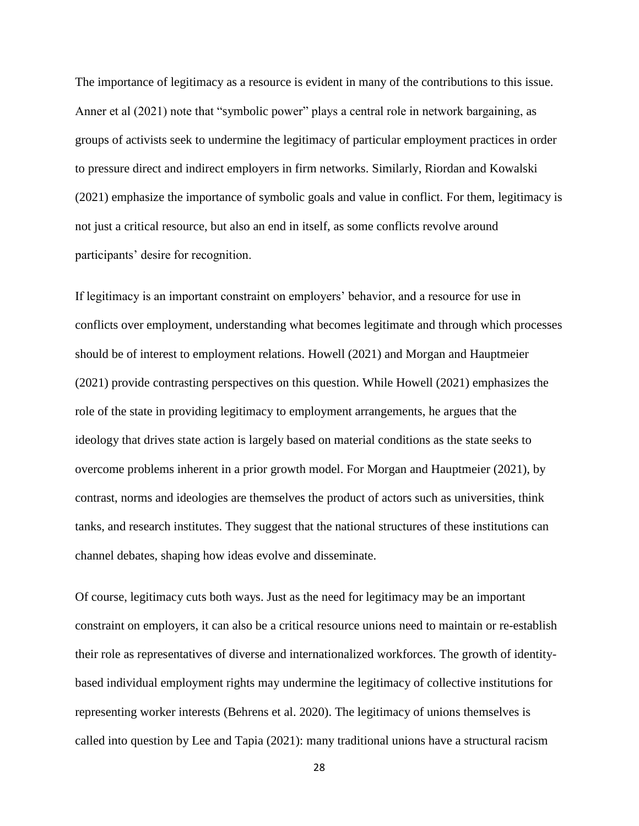The importance of legitimacy as a resource is evident in many of the contributions to this issue. Anner et al (2021) note that "symbolic power" plays a central role in network bargaining, as groups of activists seek to undermine the legitimacy of particular employment practices in order to pressure direct and indirect employers in firm networks. Similarly, Riordan and Kowalski (2021) emphasize the importance of symbolic goals and value in conflict. For them, legitimacy is not just a critical resource, but also an end in itself, as some conflicts revolve around participants' desire for recognition.

If legitimacy is an important constraint on employers' behavior, and a resource for use in conflicts over employment, understanding what becomes legitimate and through which processes should be of interest to employment relations. Howell (2021) and Morgan and Hauptmeier (2021) provide contrasting perspectives on this question. While Howell (2021) emphasizes the role of the state in providing legitimacy to employment arrangements, he argues that the ideology that drives state action is largely based on material conditions as the state seeks to overcome problems inherent in a prior growth model. For Morgan and Hauptmeier (2021), by contrast, norms and ideologies are themselves the product of actors such as universities, think tanks, and research institutes. They suggest that the national structures of these institutions can channel debates, shaping how ideas evolve and disseminate.

Of course, legitimacy cuts both ways. Just as the need for legitimacy may be an important constraint on employers, it can also be a critical resource unions need to maintain or re-establish their role as representatives of diverse and internationalized workforces. The growth of identitybased individual employment rights may undermine the legitimacy of collective institutions for representing worker interests (Behrens et al. 2020). The legitimacy of unions themselves is called into question by Lee and Tapia (2021): many traditional unions have a structural racism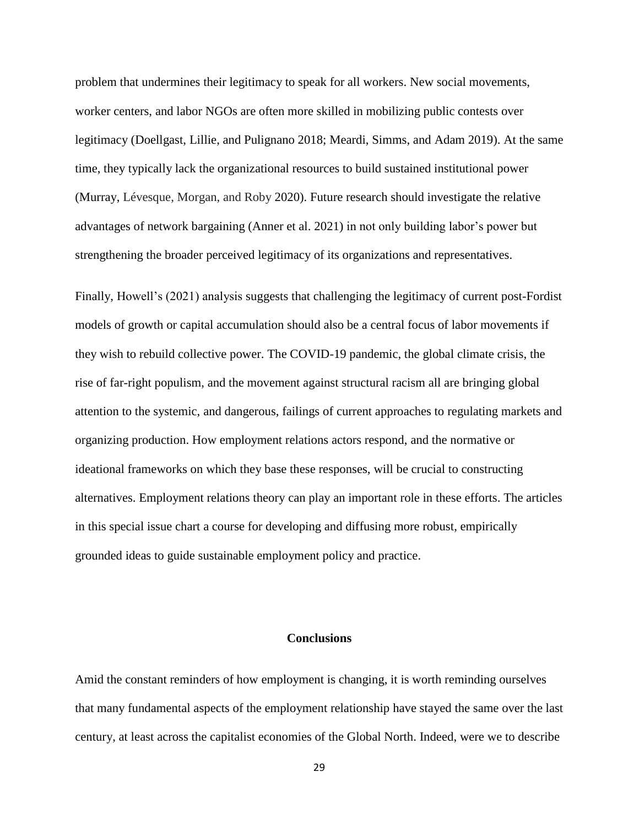problem that undermines their legitimacy to speak for all workers. New social movements, worker centers, and labor NGOs are often more skilled in mobilizing public contests over legitimacy (Doellgast, Lillie, and Pulignano 2018; Meardi, Simms, and Adam 2019). At the same time, they typically lack the organizational resources to build sustained institutional power (Murray, Lévesque, Morgan, and Roby 2020). Future research should investigate the relative advantages of network bargaining (Anner et al. 2021) in not only building labor's power but strengthening the broader perceived legitimacy of its organizations and representatives.

Finally, Howell's (2021) analysis suggests that challenging the legitimacy of current post-Fordist models of growth or capital accumulation should also be a central focus of labor movements if they wish to rebuild collective power. The COVID-19 pandemic, the global climate crisis, the rise of far-right populism, and the movement against structural racism all are bringing global attention to the systemic, and dangerous, failings of current approaches to regulating markets and organizing production. How employment relations actors respond, and the normative or ideational frameworks on which they base these responses, will be crucial to constructing alternatives. Employment relations theory can play an important role in these efforts. The articles in this special issue chart a course for developing and diffusing more robust, empirically grounded ideas to guide sustainable employment policy and practice.

# **Conclusions**

Amid the constant reminders of how employment is changing, it is worth reminding ourselves that many fundamental aspects of the employment relationship have stayed the same over the last century, at least across the capitalist economies of the Global North. Indeed, were we to describe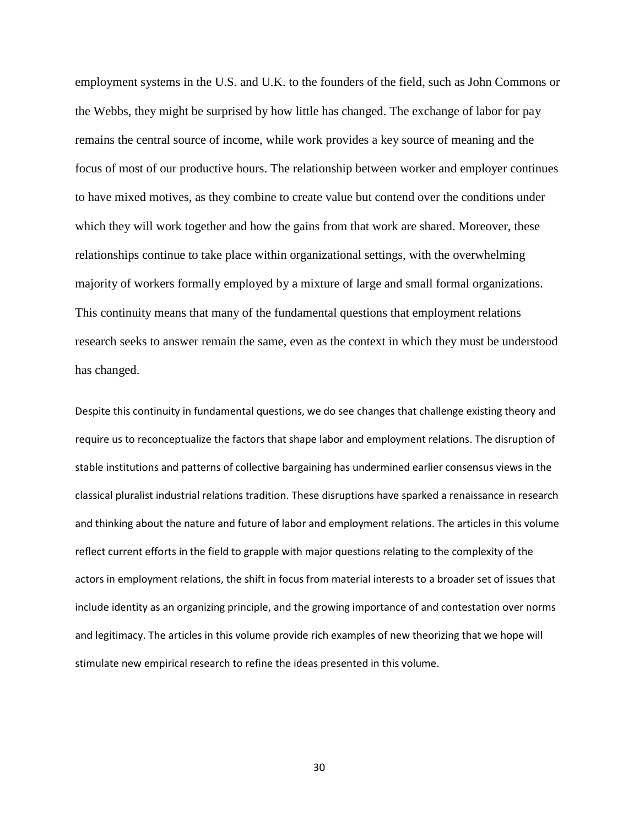employment systems in the U.S. and U.K. to the founders of the field, such as John Commons or the Webbs, they might be surprised by how little has changed. The exchange of labor for pay remains the central source of income, while work provides a key source of meaning and the focus of most of our productive hours. The relationship between worker and employer continues to have mixed motives, as they combine to create value but contend over the conditions under which they will work together and how the gains from that work are shared. Moreover, these relationships continue to take place within organizational settings, with the overwhelming majority of workers formally employed by a mixture of large and small formal organizations. This continuity means that many of the fundamental questions that employment relations research seeks to answer remain the same, even as the context in which they must be understood has changed.

Despite this continuity in fundamental questions, we do see changes that challenge existing theory and require us to reconceptualize the factors that shape labor and employment relations. The disruption of stable institutions and patterns of collective bargaining has undermined earlier consensus views in the classical pluralist industrial relations tradition. These disruptions have sparked a renaissance in research and thinking about the nature and future of labor and employment relations. The articles in this volume reflect current efforts in the field to grapple with major questions relating to the complexity of the actors in employment relations, the shift in focus from material interests to a broader set of issues that include identity as an organizing principle, and the growing importance of and contestation over norms and legitimacy. The articles in this volume provide rich examples of new theorizing that we hope will stimulate new empirical research to refine the ideas presented in this volume.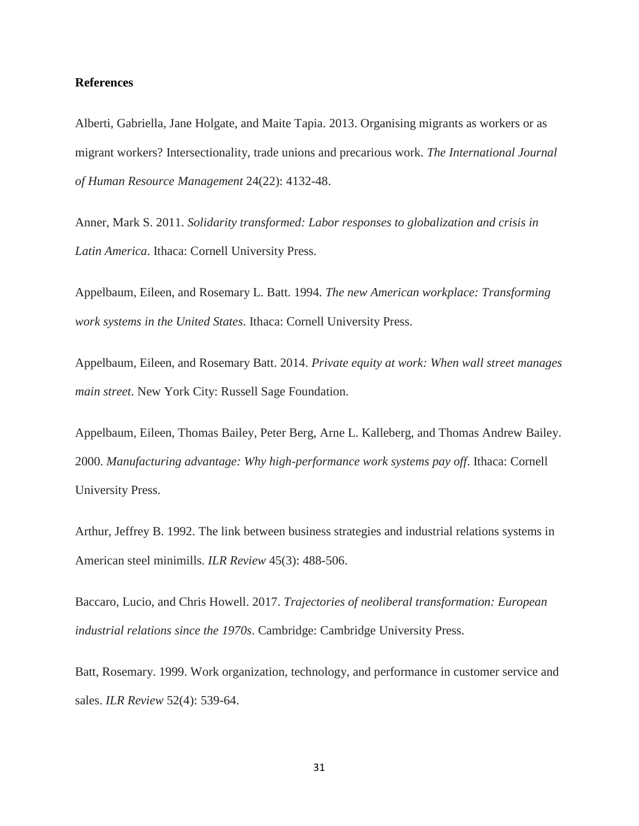### **References**

Alberti, Gabriella, Jane Holgate, and Maite Tapia. 2013. Organising migrants as workers or as migrant workers? Intersectionality, trade unions and precarious work. *The International Journal of Human Resource Management* 24(22): 4132-48.

Anner, Mark S. 2011. *Solidarity transformed: Labor responses to globalization and crisis in Latin America*. Ithaca: Cornell University Press.

Appelbaum, Eileen, and Rosemary L. Batt. 1994. *The new American workplace: Transforming work systems in the United States*. Ithaca: Cornell University Press.

Appelbaum, Eileen, and Rosemary Batt. 2014. *Private equity at work: When wall street manages main street*. New York City: Russell Sage Foundation.

Appelbaum, Eileen, Thomas Bailey, Peter Berg, Arne L. Kalleberg, and Thomas Andrew Bailey. 2000. *Manufacturing advantage: Why high-performance work systems pay off*. Ithaca: Cornell University Press.

Arthur, Jeffrey B. 1992. The link between business strategies and industrial relations systems in American steel minimills. *ILR Review* 45(3): 488-506.

Baccaro, Lucio, and Chris Howell. 2017. *Trajectories of neoliberal transformation: European industrial relations since the 1970s*. Cambridge: Cambridge University Press.

Batt, Rosemary. 1999. Work organization, technology, and performance in customer service and sales. *ILR Review* 52(4): 539-64.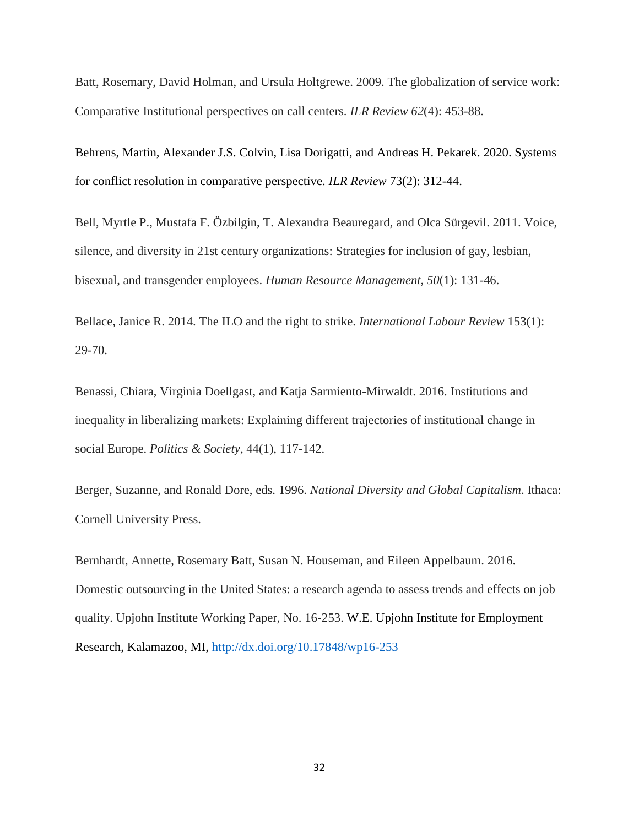Batt, Rosemary, David Holman, and Ursula Holtgrewe. 2009. The globalization of service work: Comparative Institutional perspectives on call centers. *ILR Review 62*(4): 453-88.

Behrens, Martin, Alexander J.S. Colvin, Lisa Dorigatti, and Andreas H. Pekarek. 2020. Systems for conflict resolution in comparative perspective. *ILR Review* 73(2): 312-44.

Bell, Myrtle P., Mustafa F. Özbilgin, T. Alexandra Beauregard, and Olca Sürgevil. 2011. Voice, silence, and diversity in 21st century organizations: Strategies for inclusion of gay, lesbian, bisexual, and transgender employees. *Human Resource Management, 50*(1): 131-46.

Bellace, Janice R. 2014. The ILO and the right to strike. *International Labour Review* 153(1): 29-70.

Benassi, Chiara, Virginia Doellgast, and Katja Sarmiento-Mirwaldt. 2016. Institutions and inequality in liberalizing markets: Explaining different trajectories of institutional change in social Europe. *Politics & Society*, 44(1), 117-142.

Berger, Suzanne, and Ronald Dore, eds. 1996. *National Diversity and Global Capitalism*. Ithaca: Cornell University Press.

Bernhardt, Annette, Rosemary Batt, Susan N. Houseman, and Eileen Appelbaum. 2016. Domestic outsourcing in the United States: a research agenda to assess trends and effects on job quality. Upjohn Institute Working Paper, No. 16-253. W.E. Upjohn Institute for Employment Research, Kalamazoo, MI,<http://dx.doi.org/10.17848/wp16-253>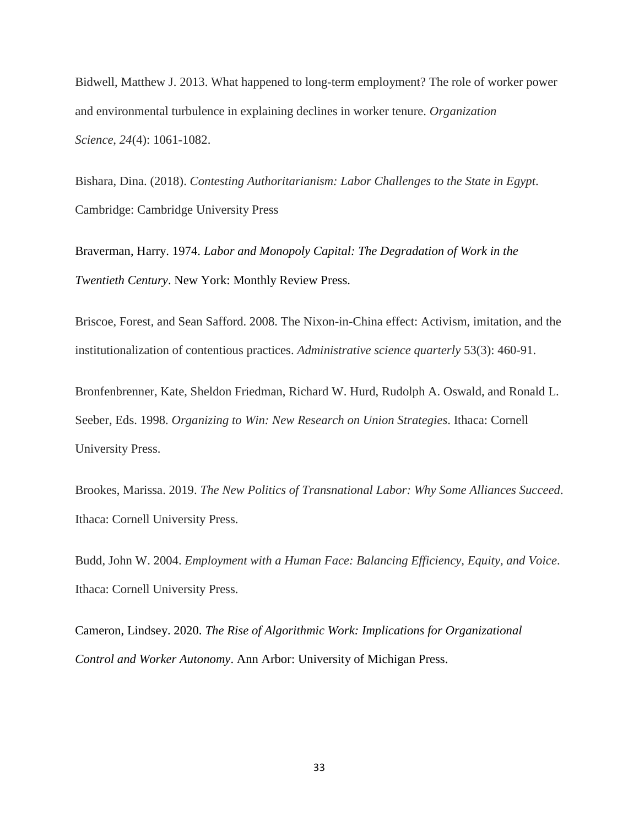Bidwell, Matthew J. 2013. What happened to long-term employment? The role of worker power and environmental turbulence in explaining declines in worker tenure. *Organization Science*, *24*(4): 1061-1082.

Bishara, Dina. (2018). *Contesting Authoritarianism: Labor Challenges to the State in Egypt*. Cambridge: Cambridge University Press

Braverman, Harry. 1974. *Labor and Monopoly Capital: The Degradation of Work in the Twentieth Century*. New York: Monthly Review Press.

Briscoe, Forest, and Sean Safford. 2008. The Nixon-in-China effect: Activism, imitation, and the institutionalization of contentious practices. *Administrative science quarterly* 53(3): 460-91.

Bronfenbrenner, Kate, Sheldon Friedman, Richard W. Hurd, Rudolph A. Oswald, and Ronald L. Seeber, Eds. 1998. *Organizing to Win: New Research on Union Strategies*. Ithaca: Cornell University Press.

Brookes, Marissa. 2019. *The New Politics of Transnational Labor: Why Some Alliances Succeed*. Ithaca: Cornell University Press.

Budd, John W. 2004. *Employment with a Human Face: Balancing Efficiency, Equity, and Voice*. Ithaca: Cornell University Press.

Cameron, Lindsey. 2020. *The Rise of Algorithmic Work: Implications for Organizational Control and Worker Autonomy*. Ann Arbor: University of Michigan Press.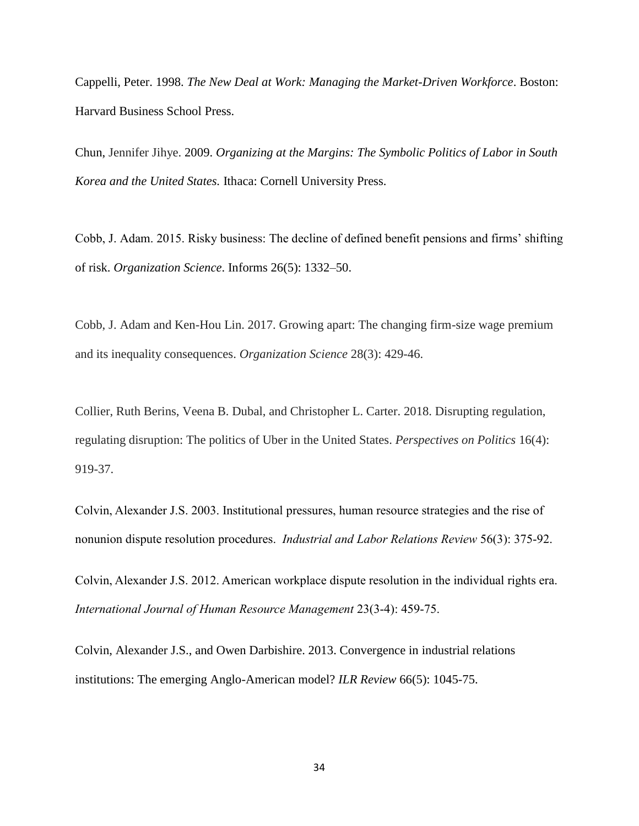Cappelli, Peter. 1998. *The New Deal at Work: Managing the Market-Driven Workforce*. Boston: Harvard Business School Press.

Chun, Jennifer Jihye. 2009. *Organizing at the Margins: The Symbolic Politics of Labor in South Korea and the United States.* Ithaca: Cornell University Press.

Cobb, J. Adam. 2015. Risky business: The decline of defined benefit pensions and firms' shifting of risk. *Organization Science*. Informs 26(5): 1332–50.

Cobb, J. Adam and Ken-Hou Lin. 2017. Growing apart: The changing firm-size wage premium and its inequality consequences. *Organization Science* 28(3): 429-46.

Collier, Ruth Berins, Veena B. Dubal, and Christopher L. Carter. 2018. Disrupting regulation, regulating disruption: The politics of Uber in the United States. *Perspectives on Politics* 16(4): 919-37.

Colvin, Alexander J.S. 2003. Institutional pressures, human resource strategies and the rise of nonunion dispute resolution procedures. *Industrial and Labor Relations Review* 56(3): 375-92.

Colvin, Alexander J.S. 2012. American workplace dispute resolution in the individual rights era. *International Journal of Human Resource Management* 23(3-4): 459-75.

Colvin, Alexander J.S., and Owen Darbishire. 2013. Convergence in industrial relations institutions: The emerging Anglo-American model? *ILR Review* 66(5): 1045-75.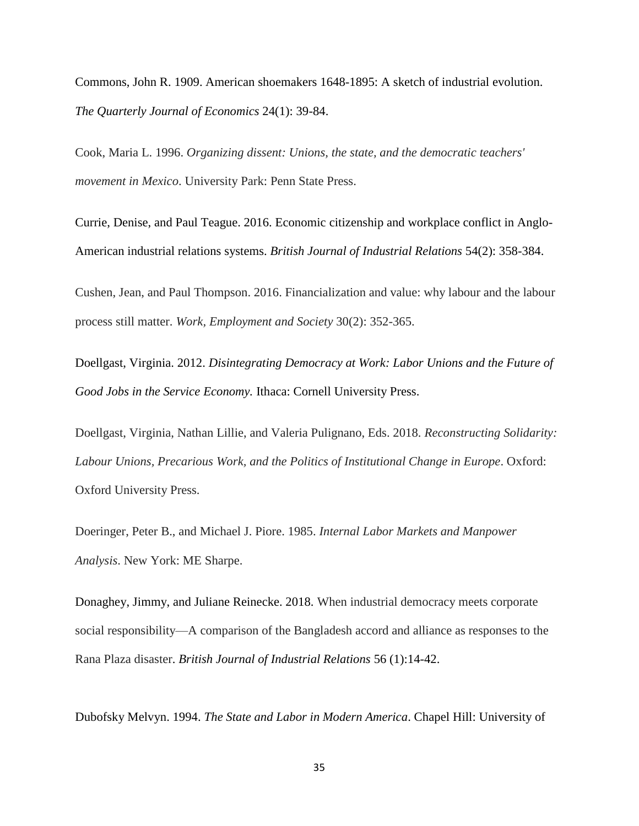Commons, John R. 1909. American shoemakers 1648-1895: A sketch of industrial evolution. *The Quarterly Journal of Economics* 24(1): 39-84.

Cook, Maria L. 1996. *Organizing dissent: Unions, the state, and the democratic teachers' movement in Mexico*. University Park: Penn State Press.

Currie, Denise, and Paul Teague. 2016. Economic citizenship and workplace conflict in Anglo-American industrial relations systems. *British Journal of Industrial Relations* 54(2): 358-384.

Cushen, Jean, and Paul Thompson. 2016. Financialization and value: why labour and the labour process still matter. *Work, Employment and Society* 30(2): 352-365.

Doellgast, Virginia. 2012. *Disintegrating Democracy at Work: Labor Unions and the Future of Good Jobs in the Service Economy.* Ithaca: Cornell University Press.

Doellgast, Virginia, Nathan Lillie, and Valeria Pulignano, Eds. 2018. *Reconstructing Solidarity: Labour Unions, Precarious Work, and the Politics of Institutional Change in Europe*. Oxford: Oxford University Press.

Doeringer, Peter B., and Michael J. Piore. 1985. *Internal Labor Markets and Manpower Analysis*. New York: ME Sharpe.

Donaghey, Jimmy, and Juliane Reinecke. 2018. When industrial democracy meets corporate social responsibility—A comparison of the Bangladesh accord and alliance as responses to the Rana Plaza disaster. *British Journal of Industrial Relations* 56 (1):14-42.

Dubofsky Melvyn. 1994. *The State and Labor in Modern America*. Chapel Hill: University of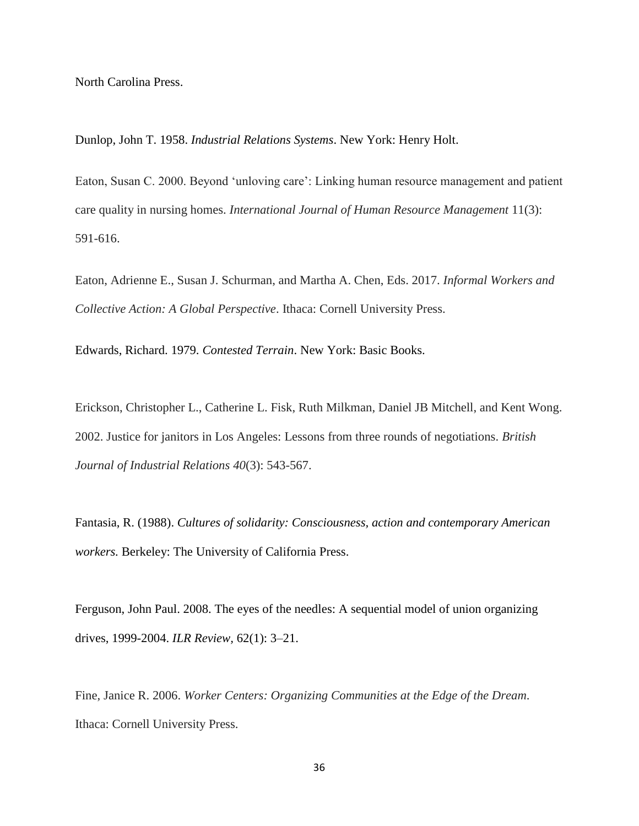North Carolina Press.

Dunlop, John T. 1958. *Industrial Relations Systems*. New York: Henry Holt.

Eaton, Susan C. 2000. Beyond 'unloving care': Linking human resource management and patient care quality in nursing homes. *International Journal of Human Resource Management* 11(3): 591-616.

Eaton, Adrienne E., Susan J. Schurman, and Martha A. Chen, Eds. 2017. *Informal Workers and Collective Action: A Global Perspective*. Ithaca: Cornell University Press.

Edwards, Richard. 1979. *Contested Terrain*. New York: Basic Books.

Erickson, Christopher L., Catherine L. Fisk, Ruth Milkman, Daniel JB Mitchell, and Kent Wong. 2002. Justice for janitors in Los Angeles: Lessons from three rounds of negotiations. *British Journal of Industrial Relations 40*(3): 543-567.

Fantasia, R. (1988). *Cultures of solidarity: Consciousness, action and contemporary American workers.* Berkeley: The University of California Press.

Ferguson, John Paul. 2008. The eyes of the needles: A sequential model of union organizing drives, 1999-2004. *ILR Review,* 62(1): 3–21.

Fine, Janice R. 2006. *Worker Centers: Organizing Communities at the Edge of the Dream*. Ithaca: Cornell University Press.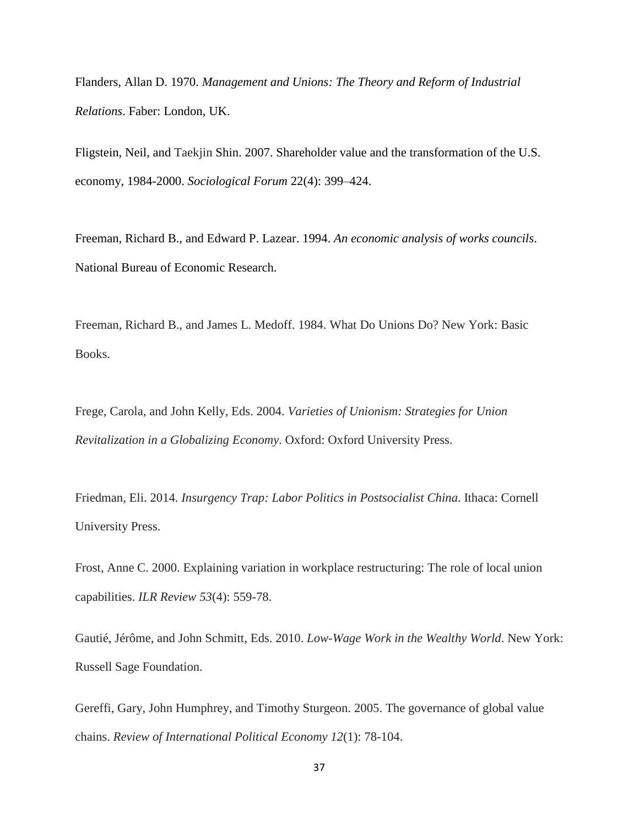Flanders, Allan D. 1970. *Management and Unions: The Theory and Reform of Industrial Relations*. Faber: London, UK.

Fligstein, Neil, and Taekjin Shin. 2007. Shareholder value and the transformation of the U.S. economy, 1984-2000. *Sociological Forum* 22(4): 399–424.

Freeman, Richard B., and Edward P. Lazear. 1994. *An economic analysis of works councils*. National Bureau of Economic Research.

Freeman, Richard B., and James L. Medoff. 1984. What Do Unions Do? New York: Basic Books.

Frege, Carola, and John Kelly, Eds. 2004. *Varieties of Unionism: Strategies for Union Revitalization in a Globalizing Economy*. Oxford: Oxford University Press.

Friedman, Eli. 2014. *Insurgency Trap: Labor Politics in Postsocialist China*. Ithaca: Cornell University Press.

Frost, Anne C. 2000. Explaining variation in workplace restructuring: The role of local union capabilities. *ILR Review 53*(4): 559-78.

Gautié, Jérôme, and John Schmitt, Eds. 2010. *Low-Wage Work in the Wealthy World*. New York: Russell Sage Foundation.

Gereffi, Gary, John Humphrey, and Timothy Sturgeon. 2005. The governance of global value chains. *Review of International Political Economy 12*(1): 78-104.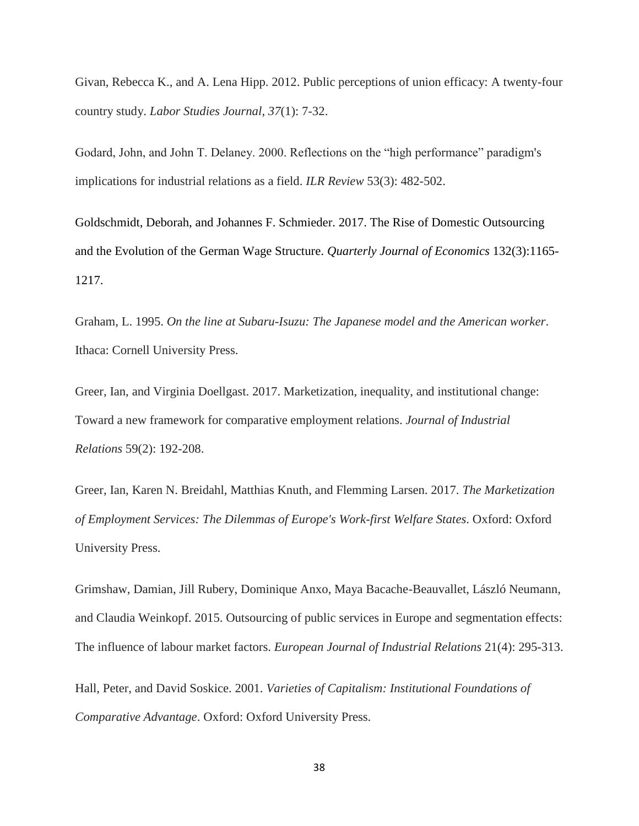Givan, Rebecca K., and A. Lena Hipp. 2012. Public perceptions of union efficacy: A twenty-four country study. *Labor Studies Journal*, *37*(1): 7-32.

Godard, John, and John T. Delaney. 2000. Reflections on the "high performance" paradigm's implications for industrial relations as a field. *ILR Review* 53(3): 482-502.

Goldschmidt, Deborah, and Johannes F. Schmieder. 2017. The Rise of Domestic Outsourcing and the Evolution of the German Wage Structure. *Quarterly Journal of Economics* 132(3):1165- 1217.

Graham, L. 1995. *On the line at Subaru-Isuzu: The Japanese model and the American worker*. Ithaca: Cornell University Press.

Greer, Ian, and Virginia Doellgast. 2017. Marketization, inequality, and institutional change: Toward a new framework for comparative employment relations. *Journal of Industrial Relations* 59(2): 192-208.

Greer, Ian, Karen N. Breidahl, Matthias Knuth, and Flemming Larsen. 2017. *The Marketization of Employment Services: The Dilemmas of Europe's Work-first Welfare States*. Oxford: Oxford University Press.

Grimshaw, Damian, Jill Rubery, Dominique Anxo, Maya Bacache-Beauvallet, László Neumann, and Claudia Weinkopf. 2015. Outsourcing of public services in Europe and segmentation effects: The influence of labour market factors. *European Journal of Industrial Relations* 21(4): 295-313.

Hall, Peter, and David Soskice. 2001. *Varieties of Capitalism: Institutional Foundations of Comparative Advantage*. Oxford: Oxford University Press.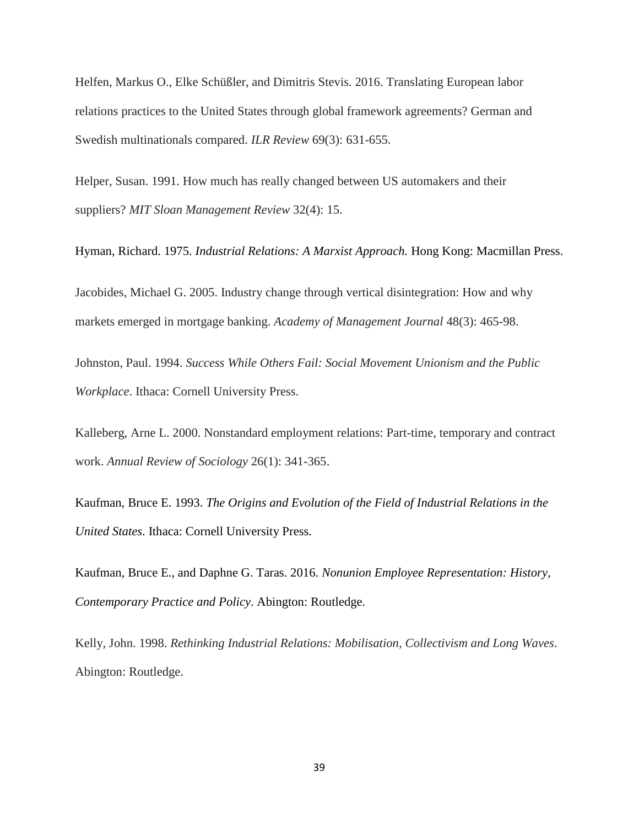Helfen, Markus O., Elke Schüßler, and Dimitris Stevis. 2016. Translating European labor relations practices to the United States through global framework agreements? German and Swedish multinationals compared. *ILR Review* 69(3): 631-655.

Helper, Susan. 1991. How much has really changed between US automakers and their suppliers? *MIT Sloan Management Review* 32(4): 15.

Hyman, Richard. 1975. *Industrial Relations: A Marxist Approach.* Hong Kong: Macmillan Press.

Jacobides, Michael G. 2005. Industry change through vertical disintegration: How and why markets emerged in mortgage banking. *Academy of Management Journal* 48(3): 465-98.

Johnston, Paul. 1994. *Success While Others Fail: Social Movement Unionism and the Public Workplace*. Ithaca: Cornell University Press.

Kalleberg, Arne L. 2000. Nonstandard employment relations: Part-time, temporary and contract work. *Annual Review of Sociology* 26(1): 341-365.

Kaufman, Bruce E. 1993. *The Origins and Evolution of the Field of Industrial Relations in the United States*. Ithaca: Cornell University Press.

Kaufman, Bruce E., and Daphne G. Taras. 2016. *Nonunion Employee Representation: History, Contemporary Practice and Policy*. Abington: Routledge.

Kelly, John. 1998. *Rethinking Industrial Relations: Mobilisation, Collectivism and Long Waves*. Abington: Routledge.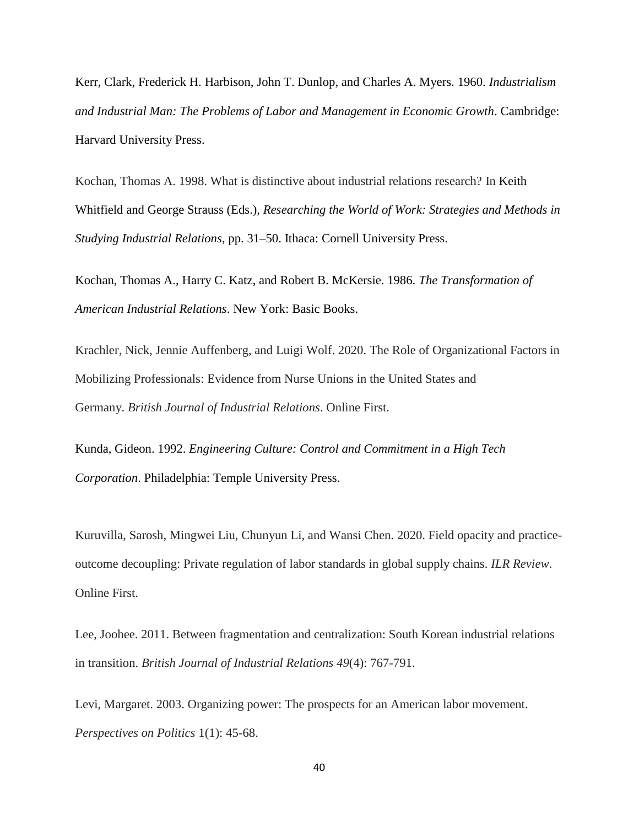Kerr, Clark, Frederick H. Harbison, John T. Dunlop, and Charles A. Myers. 1960. *Industrialism and Industrial Man: The Problems of Labor and Management in Economic Growth*. Cambridge: Harvard University Press.

Kochan, Thomas A. 1998. What is distinctive about industrial relations research? In Keith Whitfield and George Strauss (Eds.), *Researching the World of Work: Strategies and Methods in Studying Industrial Relations*, pp. 31–50. Ithaca: Cornell University Press.

Kochan, Thomas A., Harry C. Katz, and Robert B. McKersie. 1986. *The Transformation of American Industrial Relations*. New York: Basic Books.

Krachler, Nick, Jennie Auffenberg, and Luigi Wolf. 2020. The Role of Organizational Factors in Mobilizing Professionals: Evidence from Nurse Unions in the United States and Germany. *British Journal of Industrial Relations*. Online First.

Kunda, Gideon. 1992. *Engineering Culture: Control and Commitment in a High Tech Corporation*. Philadelphia: Temple University Press.

Kuruvilla, Sarosh, Mingwei Liu, Chunyun Li, and Wansi Chen. 2020. Field opacity and practiceoutcome decoupling: Private regulation of labor standards in global supply chains. *ILR Review*. Online First.

Lee, Joohee. 2011. Between fragmentation and centralization: South Korean industrial relations in transition. *British Journal of Industrial Relations 49*(4): 767-791.

Levi, Margaret. 2003. Organizing power: The prospects for an American labor movement. *Perspectives on Politics* 1(1): 45-68.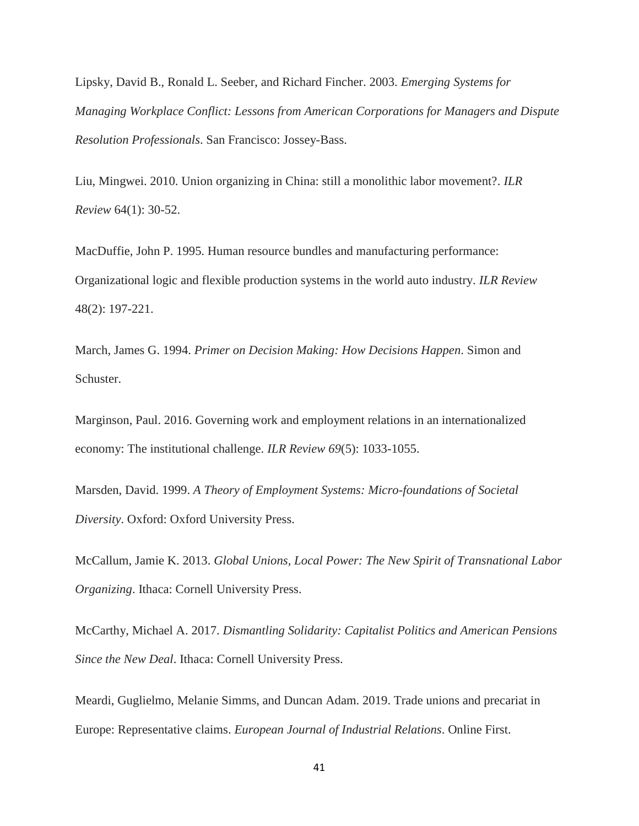Lipsky, David B., Ronald L. Seeber, and Richard Fincher. 2003. *Emerging Systems for Managing Workplace Conflict: Lessons from American Corporations for Managers and Dispute Resolution Professionals*. San Francisco: Jossey-Bass.

Liu, Mingwei. 2010. Union organizing in China: still a monolithic labor movement?. *ILR Review* 64(1): 30-52.

MacDuffie, John P. 1995. Human resource bundles and manufacturing performance: Organizational logic and flexible production systems in the world auto industry. *ILR Review* 48(2): 197-221.

March, James G. 1994. *Primer on Decision Making: How Decisions Happen*. Simon and Schuster.

Marginson, Paul. 2016. Governing work and employment relations in an internationalized economy: The institutional challenge. *ILR Review 69*(5): 1033-1055.

Marsden, David. 1999. *A Theory of Employment Systems: Micro-foundations of Societal Diversity*. Oxford: Oxford University Press.

McCallum, Jamie K. 2013. *Global Unions, Local Power: The New Spirit of Transnational Labor Organizing*. Ithaca: Cornell University Press.

McCarthy, Michael A. 2017. *Dismantling Solidarity: Capitalist Politics and American Pensions Since the New Deal*. Ithaca: Cornell University Press.

Meardi, Guglielmo, Melanie Simms, and Duncan Adam. 2019. Trade unions and precariat in Europe: Representative claims. *European Journal of Industrial Relations*. Online First.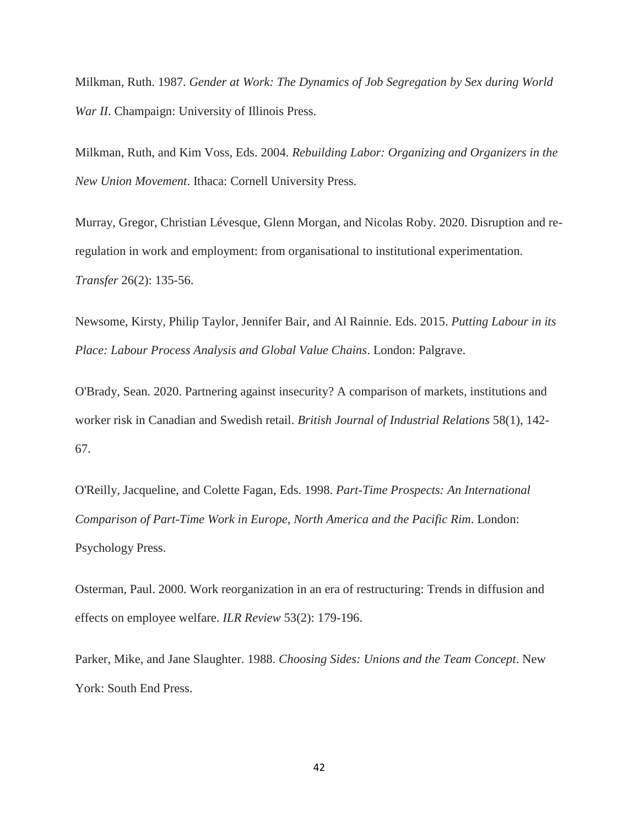Milkman, Ruth. 1987. *Gender at Work: The Dynamics of Job Segregation by Sex during World War II*. Champaign: University of Illinois Press.

Milkman, Ruth, and Kim Voss, Eds. 2004. *Rebuilding Labor: Organizing and Organizers in the New Union Movement*. Ithaca: Cornell University Press.

Murray, Gregor, Christian Lévesque, Glenn Morgan, and Nicolas Roby. 2020. Disruption and reregulation in work and employment: from organisational to institutional experimentation. *Transfer* 26(2): 135-56.

Newsome, Kirsty, Philip Taylor, Jennifer Bair, and Al Rainnie. Eds. 2015. *Putting Labour in its Place: Labour Process Analysis and Global Value Chains*. London: Palgrave.

O'Brady, Sean. 2020. Partnering against insecurity? A comparison of markets, institutions and worker risk in Canadian and Swedish retail. *British Journal of Industrial Relations* 58(1), 142- 67.

O'Reilly, Jacqueline, and Colette Fagan, Eds. 1998. *Part-Time Prospects: An International Comparison of Part-Time Work in Europe, North America and the Pacific Rim*. London: Psychology Press.

Osterman, Paul. 2000. Work reorganization in an era of restructuring: Trends in diffusion and effects on employee welfare. *ILR Review* 53(2): 179-196.

Parker, Mike, and Jane Slaughter. 1988. *Choosing Sides: Unions and the Team Concept*. New York: South End Press.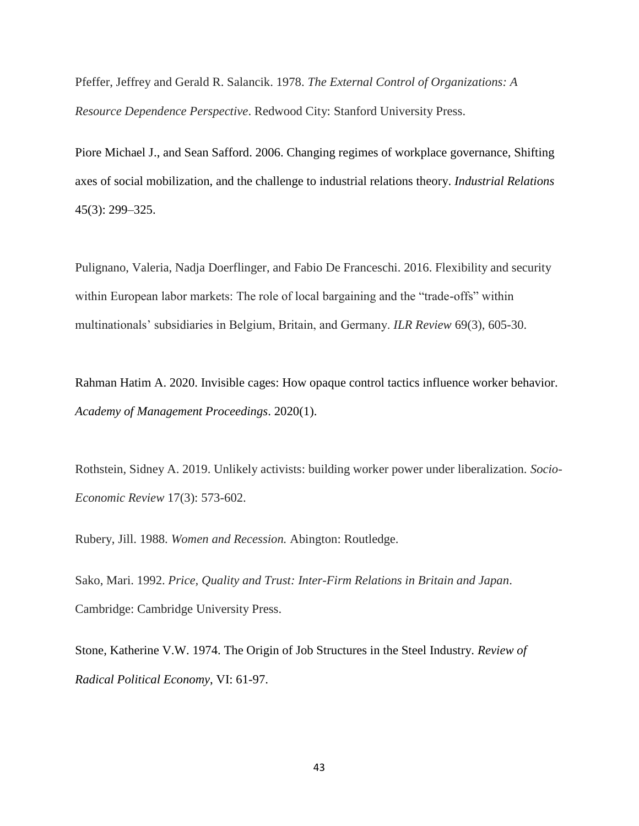Pfeffer, Jeffrey and Gerald R. Salancik. 1978. *The External Control of Organizations: A Resource Dependence Perspective*. Redwood City: Stanford University Press.

Piore Michael J., and Sean Safford. 2006. Changing regimes of workplace governance, Shifting axes of social mobilization, and the challenge to industrial relations theory. *Industrial Relations* 45(3): 299–325.

Pulignano, Valeria, Nadja Doerflinger, and Fabio De Franceschi. 2016. Flexibility and security within European labor markets: The role of local bargaining and the "trade-offs" within multinationals' subsidiaries in Belgium, Britain, and Germany. *ILR Review* 69(3), 605-30.

Rahman Hatim A. 2020. Invisible cages: How opaque control tactics influence worker behavior. *Academy of Management Proceedings*. 2020(1).

Rothstein, Sidney A. 2019. Unlikely activists: building worker power under liberalization. *Socio-Economic Review* 17(3): 573-602.

Rubery, Jill. 1988. *Women and Recession.* Abington: Routledge.

Sako, Mari. 1992. *Price, Quality and Trust: Inter-Firm Relations in Britain and Japan*. Cambridge: Cambridge University Press.

Stone, Katherine V.W. 1974. The Origin of Job Structures in the Steel Industry. *Review of Radical Political Economy*, VI: 61-97.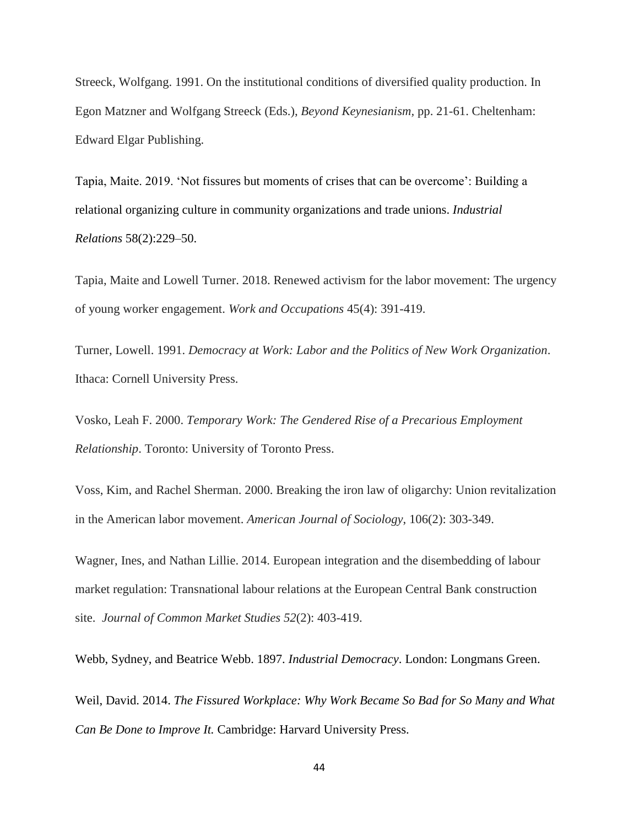Streeck, Wolfgang. 1991. On the institutional conditions of diversified quality production. In Egon Matzner and Wolfgang Streeck (Eds.), *Beyond Keynesianism,* pp. 21-61. Cheltenham: Edward Elgar Publishing.

Tapia, Maite. 2019. 'Not fissures but moments of crises that can be overcome': Building a relational organizing culture in community organizations and trade unions. *Industrial Relations* 58(2):229–50.

Tapia, Maite and Lowell Turner. 2018. Renewed activism for the labor movement: The urgency of young worker engagement. *Work and Occupations* 45(4): 391-419.

Turner, Lowell. 1991. *Democracy at Work: Labor and the Politics of New Work Organization*. Ithaca: Cornell University Press.

Vosko, Leah F. 2000. *Temporary Work: The Gendered Rise of a Precarious Employment Relationship*. Toronto: University of Toronto Press.

Voss, Kim, and Rachel Sherman. 2000. Breaking the iron law of oligarchy: Union revitalization in the American labor movement. *American Journal of Sociology*, 106(2): 303-349.

Wagner, Ines, and Nathan Lillie. 2014. European integration and the disembedding of labour market regulation: Transnational labour relations at the European Central Bank construction site. *Journal of Common Market Studies 52*(2): 403-419.

Webb, Sydney, and Beatrice Webb. 1897. *Industrial Democracy*. London: Longmans Green.

Weil, David. 2014. *The Fissured Workplace: Why Work Became So Bad for So Many and What Can Be Done to Improve It.* Cambridge: Harvard University Press.